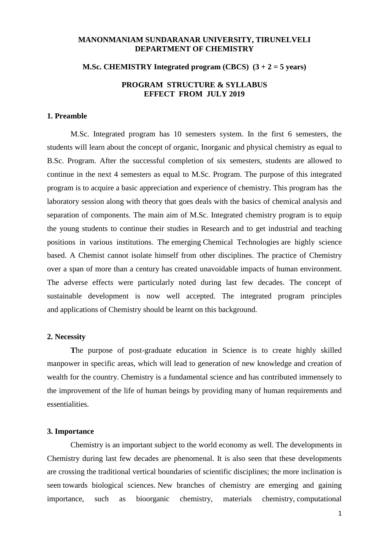## **MANONMANIAM SUNDARANAR UNIVERSITY, TIRUNELVELI DEPARTMENT OF CHEMISTRY**

### **M.Sc. CHEMISTRY Integrated program (CBCS) (3 + 2 = 5 years)**

# **PROGRAM STRUCTURE & SYLLABUS EFFECT FROM JULY 2019**

### **1. Preamble**

M.Sc. Integrated program has 10 semesters system. In the first 6 semesters, the students will learn about the concept of organic, Inorganic and physical chemistry as equal to B.Sc. Program. After the successful completion of six semesters, students are allowed to continue in the next 4 semesters as equal to M.Sc. Program. The purpose of this integrated program is to acquire a basic appreciation and experience of chemistry. This program has the laboratory session along with theory that goes deals with the basics of chemical analysis and separation of components. The main aim of M.Sc. Integrated chemistry program is to equip the young students to continue their studies in Research and to get industrial and teaching positions in various institutions. The emerging Chemical Technologies are highly science based. A Chemist cannot isolate himself from other disciplines. The practice of Chemistry over a span of more than a century has created unavoidable impacts of human environment. The adverse effects were particularly noted during last few decades. The concept of sustainable development is now well accepted. The integrated program principles and applications of Chemistry should be learnt on this background.

### **2. Necessity**

**T**he purpose of post-graduate education in Science is to create highly skilled manpower in specific areas, which will lead to generation of new knowledge and creation of wealth for the country. Chemistry is a fundamental science and has contributed immensely to the improvement of the life of human beings by providing many of human requirements and essentialities.

### **3. Importance**

Chemistry is an important subject to the world economy as well. The developments in Chemistry during last few decades are phenomenal. It is also seen that these developments are crossing the traditional vertical boundaries of scientific disciplines; the more inclination is seen towards biological sciences. New branches of chemistry are emerging and gaining importance, such as bioorganic chemistry, materials chemistry, computational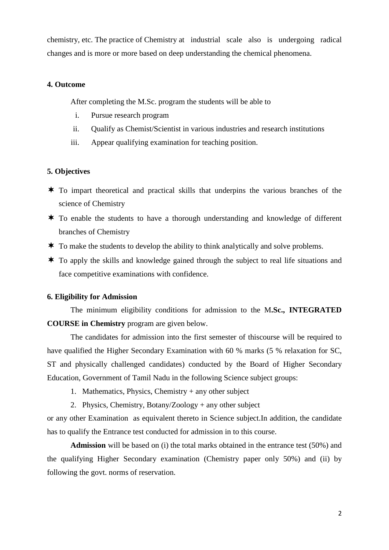chemistry, etc. The practice of Chemistry at industrial scale also is undergoing radical changes and is more or more based on deep understanding the chemical phenomena.

# **4. Outcome**

After completing the M.Sc. program the students will be able to

- i. Pursue research program
- ii. Qualify as Chemist/Scientist in various industries and research institutions
- iii. Appear qualifying examination for teaching position.

## **5. Objectives**

- $\star$  To impart theoretical and practical skills that underpins the various branches of the science of Chemistry
- $\star$  To enable the students to have a thorough understanding and knowledge of different branches of Chemistry
- $\star$  To make the students to develop the ability to think analytically and solve problems.
- $\star$  To apply the skills and knowledge gained through the subject to real life situations and face competitive examinations with confidence.

## **6. Eligibility for Admission**

The minimum eligibility conditions for admission to the M**.Sc., INTEGRATED COURSE in Chemistry** program are given below.

The candidates for admission into the first semester of thiscourse will be required to have qualified the Higher Secondary Examination with 60 % marks (5 % relaxation for SC, ST and physically challenged candidates) conducted by the Board of Higher Secondary Education, Government of Tamil Nadu in the following Science subject groups:

- 1. Mathematics, Physics, Chemistry + any other subject
- 2. Physics, Chemistry, Botany/Zoology + any other subject

or any other Examination as equivalent thereto in Science subject.In addition, the candidate has to qualify the Entrance test conducted for admission in to this course.

**Admission** will be based on (i) the total marks obtained in the entrance test (50%) and the qualifying Higher Secondary examination (Chemistry paper only 50%) and (ii) by following the govt. norms of reservation.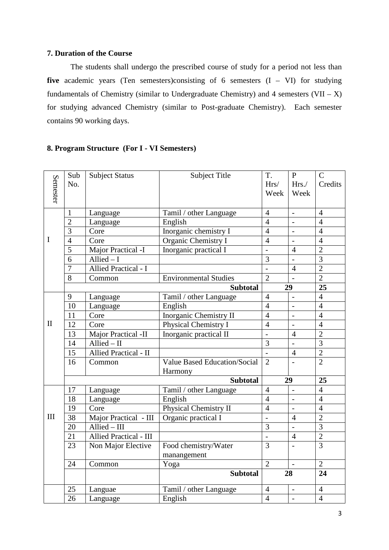## **7. Duration of the Course**

The students shall undergo the prescribed course of study for a period not less than **five** academic years (Ten semesters)consisting of 6 semesters (I – VI) for studying fundamentals of Chemistry (similar to Undergraduate Chemistry) and 4 semesters  $(VII - X)$ for studying advanced Chemistry (similar to Post-graduate Chemistry). Each semester contains 90 working days.

# **8. Program Structure (For I - VI Semesters)**

|              | Sub             | <b>Subject Status</b>          | <b>Subject Title</b>                | T.             | $\mathbf{P}$   | $\mathcal{C}$  |
|--------------|-----------------|--------------------------------|-------------------------------------|----------------|----------------|----------------|
|              | No.             |                                |                                     | Hrs/           | Hrs./          | Credits        |
| Semester     |                 |                                |                                     | Week           | Week           |                |
|              |                 |                                |                                     |                |                |                |
|              | 1               | Language                       | Tamil / other Language              | $\overline{4}$ | $\equiv$       | $\overline{4}$ |
|              | $\overline{2}$  | Language                       | English                             | $\overline{4}$ | $\equiv$       | $\overline{4}$ |
|              | 3               | Core                           | Inorganic chemistry I               | $\overline{4}$ |                | $\overline{4}$ |
| I            | $\overline{4}$  | Core                           | Organic Chemistry I                 | $\overline{4}$ |                | $\overline{4}$ |
|              | 5               | Major Practical -I             | Inorganic practical I               | $\overline{a}$ | $\overline{4}$ | $\overline{2}$ |
|              | $\overline{6}$  | $\overline{\text{Allied}} - I$ |                                     | 3              |                | $\overline{3}$ |
|              | $\overline{7}$  | Allied Practical - I           |                                     |                | $\overline{4}$ | $\overline{2}$ |
|              | 8               | Common                         | <b>Environmental Studies</b>        | $\overline{2}$ |                | $\overline{2}$ |
|              |                 |                                | <b>Subtotal</b>                     |                | 29             | 25             |
|              | 9               | Language                       | Tamil / other Language              | $\overline{4}$ |                | $\overline{4}$ |
|              | 10              | Language                       | English                             | $\overline{4}$ | $\equiv$       | $\overline{4}$ |
|              | 11              | Core                           | <b>Inorganic Chemistry II</b>       | $\overline{4}$ | $\overline{a}$ | $\overline{4}$ |
| $\mathbf{I}$ | 12              | Core                           | Physical Chemistry I                | $\overline{4}$ |                | $\overline{4}$ |
|              | 13              | Major Practical -II            | Inorganic practical II              | $\overline{a}$ | $\overline{4}$ | $\overline{2}$ |
|              | 14              | Allied $-$ II                  |                                     | 3              |                | $\overline{3}$ |
|              | $\overline{15}$ | <b>Allied Practical - II</b>   |                                     |                | $\overline{4}$ | $\overline{2}$ |
|              | 16              | Common                         | <b>Value Based Education/Social</b> | $\overline{2}$ |                | $\overline{2}$ |
|              |                 |                                | Harmony                             |                |                |                |
|              |                 |                                | <b>Subtotal</b>                     |                | 29             | 25             |
|              | 17              | Language                       | Tamil / other Language              | $\overline{4}$ | $\blacksquare$ | $\overline{4}$ |
|              | 18              | Language                       | English                             | $\overline{4}$ | $\blacksquare$ | $\overline{4}$ |
|              | 19              | Core                           | Physical Chemistry II               | $\overline{4}$ | $\equiv$       | $\overline{4}$ |
| III          | 38              | Major Practical - III          | Organic practical I                 |                | $\overline{4}$ | $\overline{2}$ |
|              | 20              | Allied - III                   |                                     | 3              |                | $\overline{3}$ |
|              | 21              | Allied Practical - III         |                                     | $\overline{a}$ | $\overline{4}$ | $\overline{2}$ |
|              | 23              | Non Major Elective             | Food chemistry/Water                | $\overline{3}$ | $\blacksquare$ | $\overline{3}$ |
|              |                 |                                | manangement                         |                |                |                |
|              | 24              | Common                         | Yoga                                | $\overline{2}$ |                | $\overline{2}$ |
|              |                 |                                | <b>Subtotal</b>                     |                | 28             | 24             |
|              | 25              | Languae                        | Tamil / other Language              | $\overline{4}$ |                | $\overline{4}$ |
|              | 26              | Language                       | English                             | $\overline{4}$ |                | $\overline{4}$ |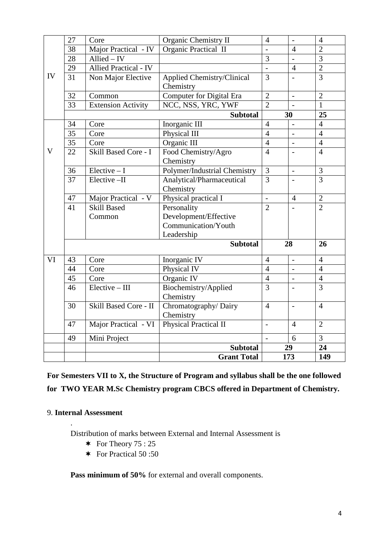|             | 27              | Core                      | <b>Organic Chemistry II</b>         | $\overline{4}$           | $\overline{a}$ | $\overline{4}$ |
|-------------|-----------------|---------------------------|-------------------------------------|--------------------------|----------------|----------------|
|             | 38              | Major Practical - IV      | Organic Practical II                | $\overline{a}$           | $\overline{4}$ | $\overline{2}$ |
|             | $\overline{28}$ | $Allied - IV$             |                                     | $\overline{3}$           |                | $\overline{3}$ |
|             | 29              | Allied Practical - IV     |                                     | $\overline{\phantom{a}}$ | $\overline{4}$ | $\overline{2}$ |
| IV          | 31              | Non Major Elective        | <b>Applied Chemistry/Clinical</b>   | $\overline{3}$           | $\overline{a}$ | $\overline{3}$ |
|             |                 |                           | Chemistry                           |                          |                |                |
|             | 32              | Common                    | <b>Computer for Digital Era</b>     | $\mathbf{2}$             | $\mathbb{L}$   | $\overline{2}$ |
|             | 33              | <b>Extension Activity</b> | NCC, NSS, YRC, YWF                  | $\overline{2}$           | $\overline{a}$ | $\mathbf{1}$   |
|             |                 |                           | <b>Subtotal</b>                     |                          | 30             | 25             |
|             | 34              | Core                      | Inorganic III                       | $\overline{4}$           |                | $\overline{4}$ |
|             | 35              | Core                      | Physical III                        | $\overline{4}$           |                | $\overline{4}$ |
|             | 35              | Core                      | Organic III                         | $\overline{4}$           | $\overline{a}$ | $\overline{4}$ |
| $\mathbf V$ | 22              | Skill Based Core - I      | Food Chemistry/Agro                 | $\overline{4}$           |                | $\overline{4}$ |
|             |                 |                           | Chemistry                           |                          |                |                |
|             | 36              | $Electric - I$            | <b>Polymer/Industrial Chemistry</b> | $\overline{3}$           | $\overline{a}$ | 3              |
|             | 37              | Elective-II               | Analytical/Pharmaceutical           | $\overline{3}$           | $\blacksquare$ | $\overline{3}$ |
|             |                 |                           | Chemistry                           |                          |                |                |
|             | 47              | Major Practical - V       | Physical practical I                | $\frac{1}{2}$            | $\overline{4}$ | $\overline{2}$ |
|             | 41              | <b>Skill Based</b>        | Personality                         | $\overline{2}$           |                | $\overline{2}$ |
|             |                 | Common                    | Development/Effective               |                          |                |                |
|             |                 |                           | Communication/Youth                 |                          |                |                |
|             |                 |                           | Leadership                          |                          |                |                |
|             |                 |                           | <b>Subtotal</b>                     |                          | 28             | 26             |
| VI          | 43              | Core                      | Inorganic IV                        | $\overline{4}$           |                | $\overline{4}$ |
|             | 44              | Core                      | Physical IV                         | $\overline{4}$           | $\overline{a}$ | $\overline{4}$ |
|             | 45              | Core                      | Organic IV                          | $\overline{4}$           |                | $\overline{4}$ |
|             | $\overline{46}$ | $Elective - III$          | Biochemistry/Applied                | $\overline{3}$           | $\overline{a}$ | $\overline{3}$ |
|             |                 |                           | Chemistry                           |                          |                |                |
|             | $\overline{30}$ | Skill Based Core - II     | Chromatography/Dairy                | $\overline{4}$           | $\overline{a}$ | $\overline{4}$ |
|             |                 |                           | Chemistry                           |                          |                |                |
|             | 47              | Major Practical - VI      | Physical Practical II               | $\overline{a}$           | $\overline{4}$ | $\overline{2}$ |
|             | 49              | Mini Project              |                                     | $\overline{a}$           | 6              | $\overline{3}$ |
|             |                 |                           | <b>Subtotal</b>                     |                          | 29             | 24             |
|             |                 |                           | <b>Grant Total</b>                  |                          | 173            | 149            |

**For Semesters VII to X, the Structure of Program and syllabus shall be the one followed for TWO YEAR M.Sc Chemistry program CBCS offered in Department of Chemistry.**

# 9. **Internal Assessment**

.

Distribution of marks between External and Internal Assessment is

- $\ast$  For Theory 75 : 25
- \* For Practical 50:50

**Pass minimum of 50%** for external and overall components.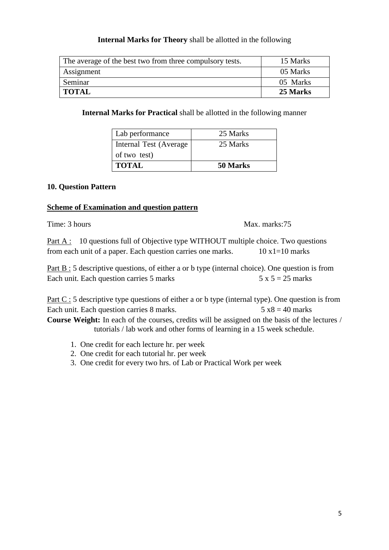# **Internal Marks for Theory** shall be allotted in the following

| The average of the best two from three compulsory tests. | 15 Marks |
|----------------------------------------------------------|----------|
| Assignment                                               | 05 Marks |
| Seminar                                                  | 05 Marks |
| <b>TOTAL</b>                                             | 25 Marks |

**Internal Marks for Practical** shall be allotted in the following manner

| Lab performance         | 25 Marks |
|-------------------------|----------|
| Internal Test (Average) | 25 Marks |
| of two test)            |          |
| <b>TOTAL</b>            | 50 Marks |

# **10. Question Pattern**

# **Scheme of Examination and question pattern**

Time: 3 hours Max. marks:75

Part A : 10 questions full of Objective type WITHOUT multiple choice. Two questions from each unit of a paper. Each question carries one marks.  $10 \times 1 = 10$  marks

Part B : 5 descriptive questions, of either a or b type (internal choice). One question is from Each unit. Each question carries 5 marks  $5 \times 5 = 25$  marks

Part C : 5 descriptive type questions of either a or b type (internal type). One question is from Each unit. Each question carries 8 marks.  $5 x8 = 40$  marks **Course Weight:** In each of the courses, credits will be assigned on the basis of the lectures /

tutorials / lab work and other forms of learning in a 15 week schedule.

- 1. One credit for each lecture hr. per week
- 2. One credit for each tutorial hr. per week
- 3. One credit for every two hrs. of Lab or Practical Work per week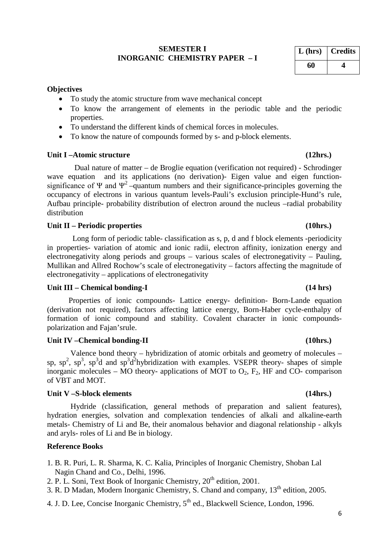## **SEMESTER I INORGANIC CHEMISTRY PAPER – I**

| L (hrs) | <b>Credits</b> |
|---------|----------------|
| 60      |                |

### **Objectives**

- To study the atomic structure from wave mechanical concept
- To know the arrangement of elements in the periodic table and the periodic properties.
- To understand the different kinds of chemical forces in molecules.
- To know the nature of compounds formed by s- and p-block elements.

## **Unit I –Atomic structure (12hrs.)**

 Dual nature of matter – de Broglie equation (verification not required) - Schrodinger wave equation and its applications (no derivation)- Eigen value and eigen functionsignificance of Ψ and  $\Psi^2$  –quantum numbers and their significance-principles governing the occupancy of electrons in various quantum levels-Pauli's exclusion principle-Hund's rule, Aufbau principle- probability distribution of electron around the nucleus –radial probability distribution

## **Unit II – Periodic properties (10hrs.)**

Long form of periodic table- classification as s, p, d and f block elements -periodicity in properties- variation of atomic and ionic radii, electron affinity, ionization energy and electronegativity along periods and groups – various scales of electronegativity – Pauling, Mullikan and Allred Rochow's scale of electronegativity – factors affecting the magnitude of electronegativity – applications of electronegativity

## **Unit III – Chemical bonding-I (14 hrs)**

 Properties of ionic compounds- Lattice energy- definition- Born-Lande equation (derivation not required), factors affecting lattice energy, Born-Haber cycle-enthalpy of formation of ionic compound and stability. Covalent character in ionic compoundspolarization and Fajan'srule.

### Unit IV –Chemical bonding-II (10hrs.)

Valence bond theory – hybridization of atomic orbitals and geometry of molecules – sp,  $sp^2$ ,  $sp^3$ ,  $sp^3d$  and  $sp^3d^2$ hybridization with examples. VSEPR theory- shapes of simple inorganic molecules – MO theory- applications of MOT to  $O_2$ ,  $F_2$ , HF and CO- comparison of VBT and MOT.

### **Unit V –S-block elements (14hrs.)**

Hydride (classification, general methods of preparation and salient features), hydration energies, solvation and complexation tendencies of alkali and alkaline-earth metals- Chemistry of Li and Be, their anomalous behavior and diagonal relationship - alkyls and aryls- roles of Li and Be in biology.

### **Reference Books**

- 1. B. R. Puri, L. R. Sharma, K. C. Kalia, Principles of Inorganic Chemistry, Shoban Lal Nagin Chand and Co., Delhi, 1996.
- 2. P. L. Soni, Text Book of Inorganic Chemistry, 20<sup>th</sup> edition, 2001.
- 3. R. D Madan, Modern Inorganic Chemistry, S. Chand and company, 13th edition, 2005.
- 4. J. D. Lee, Concise Inorganic Chemistry,  $5<sup>th</sup>$  ed., Blackwell Science, London, 1996.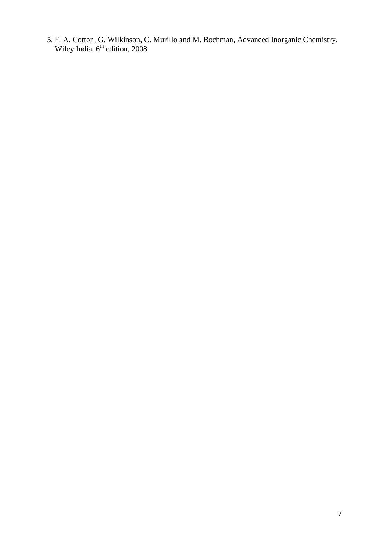5. F. A. Cotton, G. Wilkinson, C. Murillo and M. Bochman, Advanced Inorganic Chemistry, Wiley India,  $6<sup>th</sup>$  edition, 2008.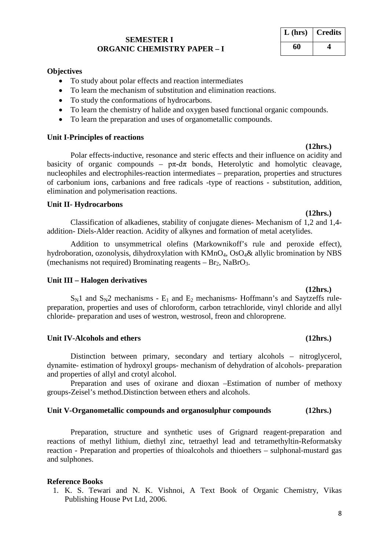## **SEMESTER I ORGANIC CHEMISTRY PAPER – I**

# **Objectives**

- To study about polar effects and reaction intermediates
- To learn the mechanism of substitution and elimination reactions.
- To study the conformations of hydrocarbons.
- To learn the chemistry of halide and oxygen based functional organic compounds.
- To learn the preparation and uses of organometallic compounds.

## **Unit I-Principles of reactions**

Polar effects-inductive, resonance and steric effects and their influence on acidity and basicity of organic compounds –  $p\pi$ -d $\pi$  bonds, Heterolytic and homolytic cleavage, nucleophiles and electrophiles-reaction intermediates – preparation, properties and structures of carbonium ions, carbanions and free radicals -type of reactions - substitution, addition, elimination and polymerisation reactions.

## **Unit II- Hydrocarbons**

Classification of alkadienes, stability of conjugate dienes- Mechanism of 1,2 and 1,4 addition- Diels-Alder reaction. Acidity of alkynes and formation of metal acetylides.

Addition to unsymmetrical olefins (Markownikoff's rule and peroxide effect), hydroboration, ozonolysis, dihydroxylation with KMnO<sub>4</sub>, OsO<sub>4</sub>& allylic bromination by NBS (mechanisms not required) Brominating reagents  $- Br<sub>2</sub>$ , NaBrO<sub>3</sub>.

## **Unit III – Halogen derivatives**

 $S_N1$  and  $S_N2$  mechanisms -  $E_1$  and  $E_2$  mechanisms- Hoffmann's and Saytzeffs rulepreparation, properties and uses of chloroform, carbon tetrachloride, vinyl chloride and allyl chloride- preparation and uses of westron, westrosol, freon and chloroprene.

## **Unit IV-Alcohols and ethers (12hrs.)**

Distinction between primary, secondary and tertiary alcohols – nitroglycerol, dynamite- estimation of hydroxyl groups- mechanism of dehydration of alcohols- preparation and properties of allyl and crotyl alcohol.

Preparation and uses of oxirane and dioxan –Estimation of number of methoxy groups-Zeisel's method.Distinction between ethers and alcohols.

## **Unit V-Organometallic compounds and organosulphur compounds (12hrs.)**

Preparation, structure and synthetic uses of Grignard reagent-preparation and reactions of methyl lithium, diethyl zinc, tetraethyl lead and tetramethyltin-Reformatsky reaction - Preparation and properties of thioalcohols and thioethers – sulphonal-mustard gas and sulphones.

## **Reference Books**

1. K. S. Tewari and N. K. Vishnoi, A Text Book of Organic Chemistry, Vikas Publishing House Pvt Ltd, 2006.

# **L (hrs) Credits 60 4**

# **(12hrs.)**

# **(12hrs.)**

**(12hrs.)**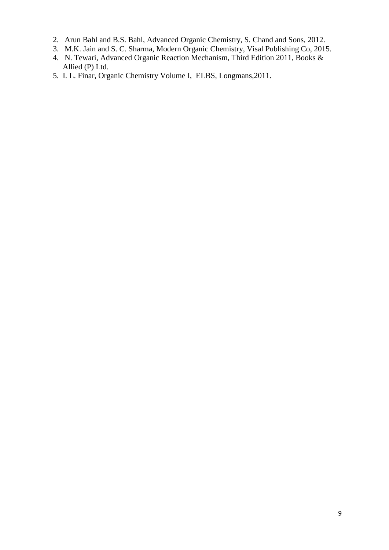- 2. Arun Bahl and B.S. Bahl, Advanced Organic Chemistry, S. Chand and Sons, 2012.
- 3. M.K. Jain and S. C. Sharma, Modern Organic Chemistry, Visal Publishing Co, 2015.
- 4. N. Tewari, Advanced Organic Reaction Mechanism, Third Edition 2011, Books & Allied (P) Ltd.
- 5. I. L. Finar, Organic Chemistry Volume I, ELBS, Longmans,2011.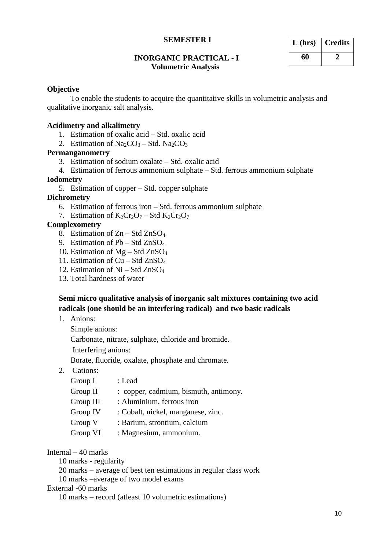## **INORGANIC PRACTICAL - I Volumetric Analysis**

| $L$ (hrs) | <b>Credits</b> |
|-----------|----------------|
| 60        |                |

## **Objective**

To enable the students to acquire the quantitative skills in volumetric analysis and qualitative inorganic salt analysis.

### **Acidimetry and alkalimetry**

- 1. Estimation of oxalic acid Std. oxalic acid
- 2. Estimation of  $Na_2CO_3 Std. Na_2CO_3$

# **Permanganometry**

- 3. Estimation of sodium oxalate Std. oxalic acid
- 4. Estimation of ferrous ammonium sulphate Std. ferrous ammonium sulphate

### **Iodometry**

5. Estimation of copper – Std. copper sulphate

# **Dichrometry**

- 6. Estimation of ferrous iron Std. ferrous ammonium sulphate
- 7. Estimation of  $K_2Cr_2O_7$  Std  $K_2Cr_2O_7$

# **Complexometry**

- 8. Estimation of  $Zn Std ZnSO<sub>4</sub>$
- 9. Estimation of  $Pb Std ZnSO<sub>4</sub>$
- 10. Estimation of Mg Std ZnSO4
- 11. Estimation of Cu Std ZnSO4
- 12. Estimation of  $Ni Std ZnSO<sub>4</sub>$
- 13. Total hardness of water

# **Semi micro qualitative analysis of inorganic salt mixtures containing two acid radicals (one should be an interfering radical) and two basic radicals**

1. Anions:

Simple anions:

Carbonate, nitrate, sulphate, chloride and bromide.

Interfering anions:

Borate, fluoride, oxalate, phosphate and chromate.

2. Cations:

| Group I    | : Lead                                |
|------------|---------------------------------------|
| Group $II$ | : copper, cadmium, bismuth, antimony. |
| Group III  | : Aluminium, ferrous iron             |
| Group IV   | : Cobalt, nickel, manganese, zinc.    |
| Group V    | : Barium, strontium, calcium          |
| Group VI   | : Magnesium, ammonium.                |

### Internal – 40 marks

10 marks - regularity

20 marks – average of best ten estimations in regular class work

10 marks –average of two model exams

# External -60 marks

10 marks – record (atleast 10 volumetric estimations)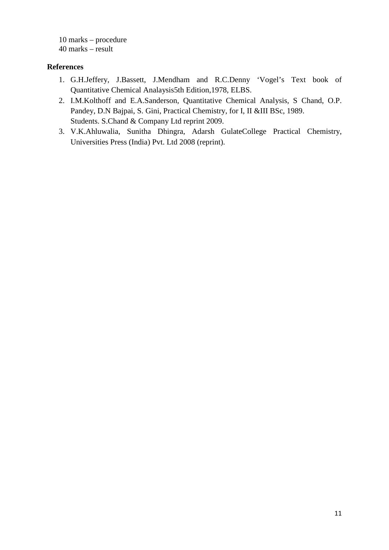10 marks – procedure 40 marks – result

# **References**

- 1. G.H.Jeffery, J.Bassett, J.Mendham and R.C.Denny 'Vogel's Text book of Quantitative Chemical Analaysis5th Edition,1978, ELBS.
- 2. I.M.Kolthoff and E.A.Sanderson, Quantitative Chemical Analysis, S Chand, O.P. Pandey, D.N Bajpai, S. Gini, Practical Chemistry, for I, II &III BSc, 1989. Students. S.Chand & Company Ltd reprint 2009.
- 3. V.K.Ahluwalia, Sunitha Dhingra, Adarsh GulateCollege Practical Chemistry, Universities Press (India) Pvt. Ltd 2008 (reprint).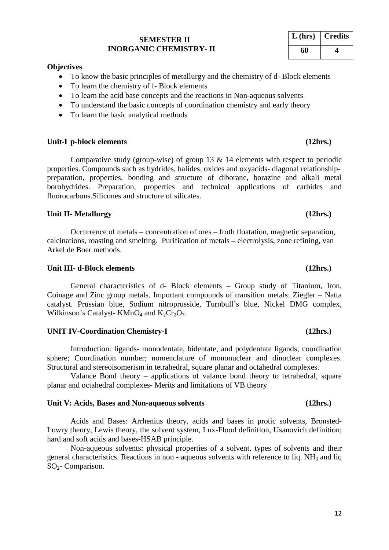# **SEMESTER II INORGANIC CHEMISTRY**- **II**

### **Objectives**

- To know the basic principles of metallurgy and the chemistry of d- Block elements
- To learn the chemistry of f- Block elements
- To learn the acid base concepts and the reactions in Non-aqueous solvents
- To understand the basic concepts of coordination chemistry and early theory
- To learn the basic analytical methods

### **Unit-I p-block elements (12hrs.)**

Comparative study (group-wise) of group 13  $\&$  14 elements with respect to periodic properties. Compounds such as hydrides, halides, oxides and oxyacids- diagonal relationshippreparation, properties, bonding and structure of diborane, borazine and alkali metal borohydrides. Preparation, properties and technical applications of carbides and fluorocarbons.Silicones and structure of silicates.

### **Unit II- Metallurgy (12hrs.)**

Occurrence of metals – concentration of ores – froth floatation, magnetic separation, calcinations, roasting and smelting. Purification of metals – electrolysis, zone refining, van Arkel de Boer methods.

### **Unit III- d-Block elements (12hrs.)**

General characteristics of d- Block elements – Group study of Titanium, Iron, Coinage and Zinc group metals. Important compounds of transition metals: Ziegler – Natta catalyst. Prussian blue, Sodium nitroprusside, Turnbull's blue, Nickel DMG complex, Wilkinson's Catalyst- KMnO<sub>4</sub> and  $K_2Cr_2O_7$ .

### **UNIT IV-Coordination Chemistry-I (12hrs.)**

Introduction: ligands- monodentate, bidentate, and polydentate ligands; coordination sphere; Coordination number; nomenclature of mononuclear and dinuclear complexes. Structural and stereoisomerism in tetrahedral, square planar and octahedral complexes.

Valance Bond theory – applications of valance bond theory to tetrahedral, square planar and octahedral complexes- Merits and limitations of VB theory

### **Unit V: Acids, Bases and Non-aqueous solvents (12hrs.)**

Acids and Bases: Arrhenius theory, acids and bases in protic solvents, Bronsted-Lowry theory, Lewis theory, the solvent system, Lux-Flood definition, Usanovich definition; hard and soft acids and bases-HSAB principle.

Non-aqueous solvents: physical properties of a solvent, types of solvents and their general characteristics. Reactions in non - aqueous solvents with reference to liq.  $NH<sub>3</sub>$  and liq SO2- Comparison.

### 12

# **L (hrs) Credits 60 4**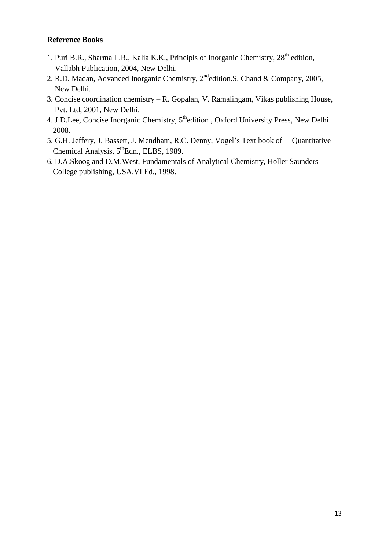# **Reference Books**

- 1. Puri B.R., Sharma L.R., Kalia K.K., Principls of Inorganic Chemistry, 28<sup>th</sup> edition, Vallabh Publication, 2004, New Delhi.
- 2. R.D. Madan, Advanced Inorganic Chemistry, 2<sup>nd</sup>edition.S. Chand & Company, 2005, New Delhi.
- 3. Concise coordination chemistry R. Gopalan, V. Ramalingam, Vikas publishing House, Pvt. Ltd, 2001, New Delhi.
- 4. J.D.Lee, Concise Inorganic Chemistry,  $5<sup>th</sup>$ edition , Oxford University Press, New Delhi 2008.
- 5. G.H. Jeffery, J. Bassett, J. Mendham, R.C. Denny, Vogel's Text book of Quantitative Chemical Analysis,  $5^{\text{th}}$ Edn., ELBS, 1989.
- 6. D.A.Skoog and D.M.West, Fundamentals of Analytical Chemistry, Holler Saunders College publishing, USA.VI Ed., 1998.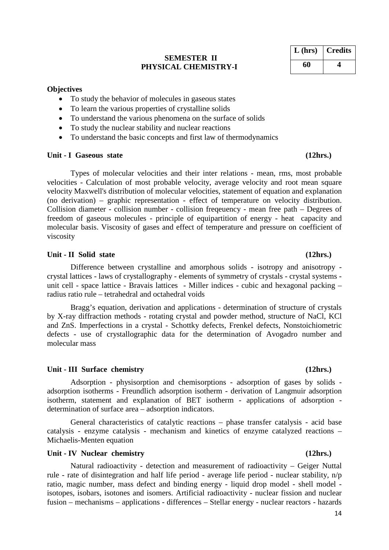## **SEMESTER II PHYSICAL CHEMISTRY-I**

### **Objectives**

- To study the behavior of molecules in gaseous states
- To learn the various properties of crystalline solids
- To understand the various phenomena on the surface of solids
- To study the nuclear stability and nuclear reactions
- To understand the basic concepts and first law of thermodynamics

### **Unit - I Gaseous state (12hrs.)**

Types of molecular velocities and their inter relations - mean, rms, most probable velocities - Calculation of most probable velocity, average velocity and root mean square velocity Maxwell's distribution of molecular velocities, statement of equation and explanation (no derivation) – graphic representation - effect of temperature on velocity distribution. Collision diameter - collision number - collision freqeuency - mean free path – Degrees of freedom of gaseous molecules - principle of equipartition of energy - heat capacity and molecular basis. Viscosity of gases and effect of temperature and pressure on coefficient of viscosity

### **Unit - II Solid state (12hrs.)**

Difference between crystalline and amorphous solids - isotropy and anisotropy crystal lattices - laws of crystallography - elements of symmetry of crystals - crystal systems unit cell - space lattice - Bravais lattices - Miller indices - cubic and hexagonal packing – radius ratio rule – tetrahedral and octahedral voids

Bragg's equation, derivation and applications - determination of structure of crystals by X-ray diffraction methods - rotating crystal and powder method, structure of NaCl, KCl and ZnS. Imperfections in a crystal - Schottky defects, Frenkel defects, Nonstoichiometric defects - use of crystallographic data for the determination of Avogadro number and molecular mass

### **Unit - III Surface chemistry (12hrs.)**

Adsorption - physisorption and chemisorptions - adsorption of gases by solids adsorption isotherms - Freundlich adsorption isotherm - derivation of Langmuir adsorption isotherm, statement and explanation of BET isotherm - applications of adsorption determination of surface area – adsorption indicators.

General characteristics of catalytic reactions – phase transfer catalysis - acid base catalysis - enzyme catalysis - mechanism and kinetics of enzyme catalyzed reactions – Michaelis-Menten equation

### **Unit - IV Nuclear chemistry (12hrs.)**

Natural radioactivity - detection and measurement of radioactivity – Geiger Nuttal rule - rate of disintegration and half life period - average life period - nuclear stability, n/p ratio, magic number, mass defect and binding energy - liquid drop model - shell model isotopes, isobars, isotones and isomers. Artificial radioactivity - nuclear fission and nuclear fusion – mechanisms – applications - differences – Stellar energy - nuclear reactors - hazards

**L (hrs) Credits 60 4**

14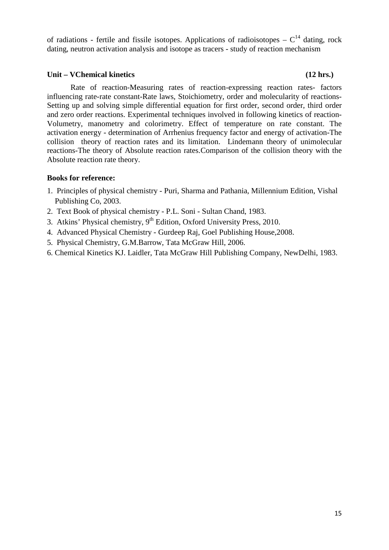of radiations - fertile and fissile isotopes. Applications of radioisotopes  $-C^{14}$  dating, rock dating, neutron activation analysis and isotope as tracers - study of reaction mechanism

## **Unit – VChemical kinetics (12 hrs.)**

Rate of reaction-Measuring rates of reaction-expressing reaction rates- factors influencing rate-rate constant-Rate laws, Stoichiometry, order and molecularity of reactions-Setting up and solving simple differential equation for first order, second order, third order and zero order reactions. Experimental techniques involved in following kinetics of reaction-Volumetry, manometry and colorimetry. Effect of temperature on rate constant. The activation energy - determination of Arrhenius frequency factor and energy of activation-The collision theory of reaction rates and its limitation. Lindemann theory of unimolecular reactions-The theory of Absolute reaction rates.Comparison of the collision theory with the Absolute reaction rate theory.

## **Books for reference:**

- 1. Principles of physical chemistry Puri, Sharma and Pathania, Millennium Edition, Vishal Publishing Co, 2003.
- 2. Text Book of physical chemistry P.L. Soni Sultan Chand, 1983.
- 3. Atkins' Physical chemistry,  $9<sup>th</sup>$  Edition, Oxford University Press, 2010.
- 4. Advanced Physical Chemistry Gurdeep Raj, Goel Publishing House,2008.
- 5. Physical Chemistry, G.M.Barrow, Tata McGraw Hill, 2006.
- 6. Chemical Kinetics KJ. Laidler, Tata McGraw Hill Publishing Company, NewDelhi, 1983.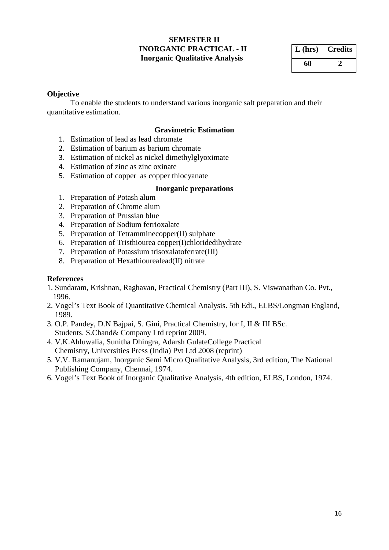# **SEMESTER II INORGANIC PRACTICAL - II Inorganic Qualitative Analysis**

| $L$ (hrs) | <b>Credits</b> |
|-----------|----------------|
| 60        |                |

# **Objective**

To enable the students to understand various inorganic salt preparation and their quantitative estimation.

# **Gravimetric Estimation**

- 1. Estimation of lead as lead chromate
- 2. Estimation of barium as barium chromate
- 3. Estimation of nickel as nickel dimethylglyoximate
- 4. Estimation of zinc as zinc oxinate
- 5. Estimation of copper as copper thiocyanate

## **Inorganic preparations**

- 1. Preparation of Potash alum
- 2. Preparation of Chrome alum
- 3. Preparation of Prussian blue
- 4. Preparation of Sodium ferrioxalate
- 5. Preparation of Tetramminecopper(II) sulphate
- 6. Preparation of Tristhiourea copper(I)chloridedihydrate
- 7. Preparation of Potassium trisoxalatoferrate(III)
- 8. Preparation of Hexathiourealead(II) nitrate

## **References**

- 1. Sundaram, Krishnan, Raghavan, Practical Chemistry (Part III), S. Viswanathan Co. Pvt., 1996.
- 2. Vogel's Text Book of Quantitative Chemical Analysis. 5th Edi., ELBS/Longman England, 1989.
- 3. O.P. Pandey, D.N Bajpai, S. Gini, Practical Chemistry, for I, II & III BSc. Students. S.Chand& Company Ltd reprint 2009.
- 4. V.K.Ahluwalia, Sunitha Dhingra, Adarsh GulateCollege Practical Chemistry, Universities Press (India) Pvt Ltd 2008 (reprint)
- 5. V.V. Ramanujam, Inorganic Semi Micro Qualitative Analysis, 3rd edition, The National Publishing Company, Chennai, 1974.
- 6. Vogel's Text Book of Inorganic Qualitative Analysis, 4th edition, ELBS, London, 1974.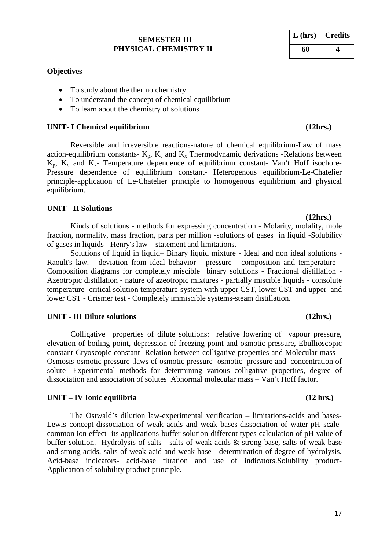# **SEMESTER III PHYSICAL CHEMISTRY II**

# **Objectives**

- To study about the thermo chemistry
- To understand the concept of chemical equilibrium
- To learn about the chemistry of solutions

# **UNIT- I Chemical equilibrium (12hrs.)**

Reversible and irreversible reactions-nature of chemical equilibrium-Law of mass action-equilibrium constants-  $K_p$ ,  $K_c$  and  $K_x$  Thermodynamic derivations -Relations between  $K_p$ ,  $K_c$  and  $K_x$ - Temperature dependence of equilibrium constant- Van't Hoff isochore-Pressure dependence of equilibrium constant- Heterogenous equilibrium-Le-Chatelier principle-application of Le-Chatelier principle to homogenous equilibrium and physical equilibrium.

# **UNIT - II Solutions**

**(12hrs.)** Kinds of solutions - methods for expressing concentration - Molarity, molality, mole fraction, normality, mass fraction, parts per million -solutions of gases in liquid -Solubility of gases in liquids - Henry's law – statement and limitations.

Solutions of liquid in liquid– Binary liquid mixture - Ideal and non ideal solutions - Raoult's law. - deviation from ideal behavior - pressure - composition and temperature - Composition diagrams for completely miscible binary solutions - Fractional distillation - Azeotropic distillation - nature of azeotropic mixtures - partially miscible liquids - consolute temperature- critical solution temperature-system with upper CST, lower CST and upper and lower CST - Crismer test - Completely immiscible systems-steam distillation.

# **UNIT - III Dilute solutions (12hrs.)**

Colligative properties of dilute solutions: relative lowering of vapour pressure, elevation of boiling point, depression of freezing point and osmotic pressure, Ebullioscopic constant-Cryoscopic constant- Relation between colligative properties and Molecular mass – Osmosis-osmotic pressure-.laws of osmotic pressure -osmotic pressure and concentration of solute- Experimental methods for determining various colligative properties, degree of dissociation and association of solutes Abnormal molecular mass – Van't Hoff factor.

# **UNIT – IV Ionic equilibria (12 hrs.)**

The Ostwald's dilution law-experimental verification – limitations-acids and bases-Lewis concept-dissociation of weak acids and weak bases-dissociation of water-pH scalecommon ion effect- its applications-buffer solution-different types-calculation of pH value of buffer solution. Hydrolysis of salts - salts of weak acids & strong base, salts of weak base and strong acids, salts of weak acid and weak base - determination of degree of hydrolysis. Acid-base indicators- acid-base titration and use of indicators.Solubility product-Application of solubility product principle.

# **L (hrs) Credits 60 4**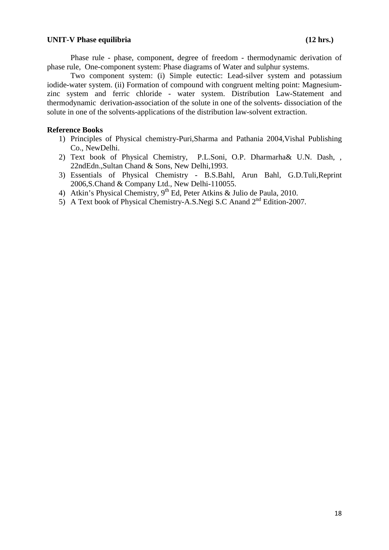### UNIT-V Phase equilibria (12 hrs.)

Phase rule - phase, component, degree of freedom - thermodynamic derivation of phase rule, One-component system: Phase diagrams of Water and sulphur systems.

Two component system: (i) Simple eutectic: Lead-silver system and potassium iodide-water system. (ii) Formation of compound with congruent melting point: Magnesiumzinc system and ferric chloride - water system. Distribution Law-Statement and thermodynamic derivation-association of the solute in one of the solvents- dissociation of the solute in one of the solvents-applications of the distribution law-solvent extraction.

### **Reference Books**

- 1) Principles of Physical chemistry-Puri,Sharma and Pathania 2004,Vishal Publishing Co., NewDelhi.
- 2) Text book of Physical Chemistry, P.L.Soni, O.P. Dharmarha& U.N. Dash, , 22ndEdn.,Sultan Chand & Sons, New Delhi,1993.
- 3) Essentials of Physical Chemistry B.S.Bahl, Arun Bahl, G.D.Tuli,Reprint 2006,S.Chand & Company Ltd., New Delhi-110055.
- 4) Atkin's Physical Chemistry, 9<sup>th</sup> Ed, Peter Atkins & Julio de Paula, 2010.
- 5) A Text book of Physical Chemistry-A.S.Negi S.C Anand 2<sup>nd</sup> Edition-2007.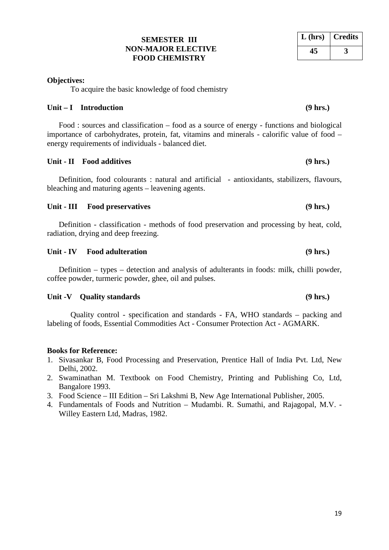# **SEMESTER III NON-MAJOR ELECTIVE FOOD CHEMISTRY**

# **Objectives:**

To acquire the basic knowledge of food chemistry

# **Unit – I Introduction (9 hrs.)**

Food : sources and classification – food as a source of energy - functions and biological importance of carbohydrates, protein, fat, vitamins and minerals - calorific value of food – energy requirements of individuals - balanced diet.

# **Unit - II Food additives (9 hrs.)**

Definition, food colourants : natural and artificial - antioxidants, stabilizers, flavours, bleaching and maturing agents – leavening agents.

# **Unit - III Food preservatives (9 hrs.)**

Definition - classification - methods of food preservation and processing by heat, cold, radiation, drying and deep freezing.

# **Unit - IV Food adulteration (9 hrs.)**

Definition – types – detection and analysis of adulterants in foods: milk, chilli powder, coffee powder, turmeric powder, ghee, oil and pulses.

# Unit -V Quality standards **(9 hrs.)**

Quality control - specification and standards - FA, WHO standards – packing and labeling of foods, Essential Commodities Act - Consumer Protection Act - AGMARK.

# **Books for Reference:**

- 1. Sivasankar B, Food Processing and Preservation, Prentice Hall of India Pvt. Ltd, New Delhi, 2002.
- 2. Swaminathan M. Textbook on Food Chemistry, Printing and Publishing Co, Ltd, Bangalore 1993.
- 3. Food Science III Edition Sri Lakshmi B, New Age International Publisher, 2005.
- 4. Fundamentals of Foods and Nutrition Mudambi. R. Sumathi, and Rajagopal, M.V. Willey Eastern Ltd, Madras, 1982.

# **L (hrs) Credits 45 3**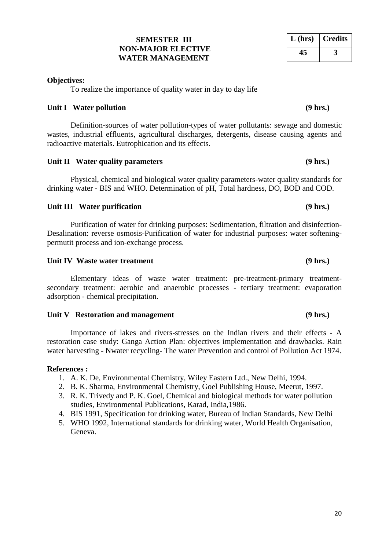# **SEMESTER III NON-MAJOR ELECTIVE WATER MANAGEMENT**

# **Objectives:**

To realize the importance of quality water in day to day life

# Unit I Water pollution **(9 hrs.)**

Definition-sources of water pollution-types of water pollutants: sewage and domestic wastes, industrial effluents, agricultural discharges, detergents, disease causing agents and radioactive materials. Eutrophication and its effects.

# Unit II Water quality parameters *(9 hrs.)*

Physical, chemical and biological water quality parameters-water quality standards for drinking water - BIS and WHO. Determination of pH, Total hardness, DO, BOD and COD.

# Unit III Water purification **(9 hrs.)**

Purification of water for drinking purposes: Sedimentation, filtration and disinfection-Desalination: reverse osmosis-Purification of water for industrial purposes: water softeningpermutit process and ion-exchange process.

# Unit IV Waste water treatment **(9 hrs.)**

Elementary ideas of waste water treatment: pre-treatment-primary treatmentsecondary treatment: aerobic and anaerobic processes - tertiary treatment: evaporation adsorption - chemical precipitation.

# Unit V Restoration and management (9 hrs.)

Importance of lakes and rivers-stresses on the Indian rivers and their effects - A restoration case study: Ganga Action Plan: objectives implementation and drawbacks. Rain water harvesting - Nwater recycling- The water Prevention and control of Pollution Act 1974.

# **References :**

- 1. A. K. De, Environmental Chemistry, Wiley Eastern Ltd., New Delhi, 1994.
- 2. B. K. Sharma, Environmental Chemistry, Goel Publishing House, Meerut, 1997.
- 3. R. K. Trivedy and P. K. Goel, Chemical and biological methods for water pollution studies, Environmental Publications, Karad, India,1986.
- 4. BIS 1991, Specification for drinking water, Bureau of Indian Standards, New Delhi
- 5. WHO 1992, International standards for drinking water, World Health Organisation, Geneva.

| $L$ (hrs) | <b>Credits</b> |
|-----------|----------------|
| 45        |                |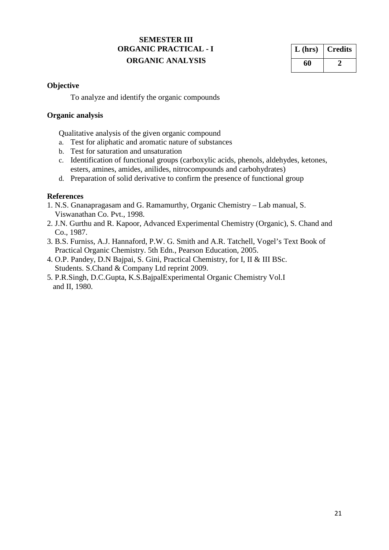# **SEMESTER III ORGANIC PRACTICAL - I ORGANIC ANALYSIS**

| $L$ (hrs) | <b>Credits</b> |
|-----------|----------------|
| 60        |                |

# **Objective**

To analyze and identify the organic compounds

# **Organic analysis**

Qualitative analysis of the given organic compound

- a. Test for aliphatic and aromatic nature of substances
- b. Test for saturation and unsaturation
- c. Identification of functional groups (carboxylic acids, phenols, aldehydes, ketones, esters, amines, amides, anilides, nitrocompounds and carbohydrates)
- d. Preparation of solid derivative to confirm the presence of functional group

# **References**

- 1. N.S. Gnanapragasam and G. Ramamurthy, Organic Chemistry Lab manual, S. Viswanathan Co. Pvt., 1998.
- 2. J.N. Gurthu and R. Kapoor, Advanced Experimental Chemistry (Organic), S. Chand and Co., 1987.
- 3. B.S. Furniss, A.J. Hannaford, P.W. G. Smith and A.R. Tatchell, Vogel's Text Book of Practical Organic Chemistry. 5th Edn., Pearson Education, 2005.
- 4. O.P. Pandey, D.N Bajpai, S. Gini, Practical Chemistry, for I, II & III BSc. Students. S.Chand & Company Ltd reprint 2009.
- 5. P.R.Singh, D.C.Gupta, K.S.BajpalExperimental Organic Chemistry Vol.I and II, 1980.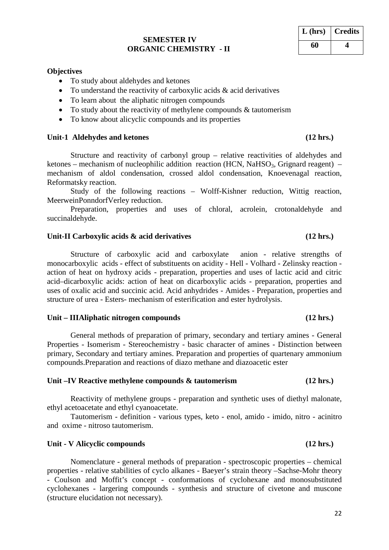### **SEMESTER IV ORGANIC CHEMISTRY - II**

**Objectives**

- To understand the reactivity of carboxylic acids  $&$  acid derivatives
- To learn about the aliphatic nitrogen compounds
- To study about the reactivity of methylene compounds & tautomerism
- To know about alicyclic compounds and its properties

### Unit-1 Aldehydes and ketones **(12 hrs.)**

Structure and reactivity of carbonyl group – relative reactivities of aldehydes and ketones – mechanism of nucleophilic addition reaction (HCN, NaHSO<sub>3</sub>, Grignard reagent) – mechanism of aldol condensation, crossed aldol condensation, Knoevenagal reaction, Reformatsky reaction.

Study of the following reactions – Wolff-Kishner reduction, Wittig reaction, MeerweinPonndorfVerley reduction.

Preparation, properties and uses of chloral, acrolein, crotonaldehyde and succinaldehyde.

### Unit-II Carboxylic acids  $\&$  acid derivatives (12 hrs.)

Structure of carboxylic acid and carboxylate anion - relative strengths of monocarboxylic acids - effect of substituents on acidity - Hell - Volhard - Zelinsky reaction action of heat on hydroxy acids - preparation, properties and uses of lactic acid and citric acid–dicarboxylic acids: action of heat on dicarboxylic acids - preparation, properties and uses of oxalic acid and succinic acid. Acid anhydrides - Amides - Preparation, properties and structure of urea - Esters- mechanism of esterification and ester hydrolysis.

### **Unit – IIIAliphatic nitrogen compounds (12 hrs.)**

General methods of preparation of primary, secondary and tertiary amines - General Properties - Isomerism - Stereochemistry - basic character of amines - Distinction between primary, Secondary and tertiary amines. Preparation and properties of quartenary ammonium compounds.Preparation and reactions of diazo methane and diazoacetic ester

### **Unit –IV Reactive methylene compounds & tautomerism (12 hrs.)**

Reactivity of methylene groups - preparation and synthetic uses of diethyl malonate, ethyl acetoacetate and ethyl cyanoacetate.

Tautomerism - definition - various types, keto - enol, amido - imido, nitro - acinitro and oxime - nitroso tautomerism.

### **Unit - V Alicyclic compounds (12 hrs.)**

Nomenclature - general methods of preparation - spectroscopic properties – chemical properties - relative stabilities of cyclo alkanes - Baeyer's strain theory –Sachse-Mohr theory - Coulson and Moffit's concept - conformations of cyclohexane and monosubstituted cyclohexanes - largering compounds - synthesis and structure of civetone and muscone (structure elucidation not necessary).

# **L (hrs) Credits 60 4**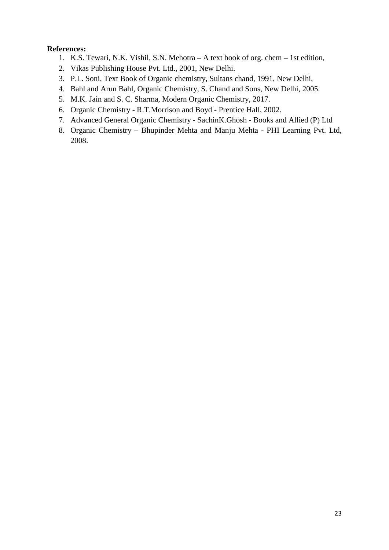# **References:**

- 1. K.S. Tewari, N.K. Vishil, S.N. Mehotra A text book of org. chem 1st edition,
- 2. Vikas Publishing House Pvt. Ltd., 2001, New Delhi.
- 3. P.L. Soni, Text Book of Organic chemistry, Sultans chand, 1991, New Delhi,
- 4. Bahl and Arun Bahl, Organic Chemistry, S. Chand and Sons, New Delhi, 2005.
- 5. M.K. Jain and S. C. Sharma, Modern Organic Chemistry, 2017.
- 6. Organic Chemistry R.T.Morrison and Boyd Prentice Hall, 2002.
- 7. Advanced General Organic Chemistry SachinK.Ghosh Books and Allied (P) Ltd
- 8. Organic Chemistry Bhupinder Mehta and Manju Mehta PHI Learning Pvt. Ltd, 2008.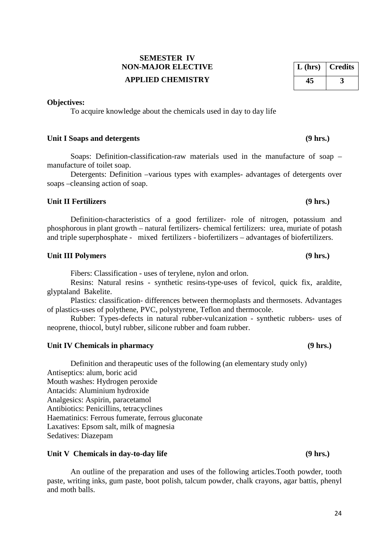# **SEMESTER IV NON-MAJOR ELECTIVE APPLIED CHEMISTRY**

# **Objectives:**

To acquire knowledge about the chemicals used in day to day life

# Unit I Soaps and detergents (9 hrs.)

Soaps: Definition-classification-raw materials used in the manufacture of soap – manufacture of toilet soap.

Detergents: Definition –various types with examples- advantages of detergents over soaps –cleansing action of soap.

# **Unit II Fertilizers (9 hrs.)**

Definition-characteristics of a good fertilizer- role of nitrogen, potassium and phosphorous in plant growth – natural fertilizers- chemical fertilizers: urea, muriate of potash and triple superphosphate - mixed fertilizers - biofertilizers – advantages of biofertilizers.

# **Unit III Polymers (9 hrs.)**

Fibers: Classification - uses of terylene, nylon and orlon.

Resins: Natural resins - synthetic resins-type-uses of fevicol, quick fix, araldite, glyptaland Bakelite.

Plastics: classification- differences between thermoplasts and thermosets. Advantages of plastics-uses of polythene, PVC, polystyrene, Teflon and thermocole.

Rubber: Types-defects in natural rubber-vulcanization - synthetic rubbers- uses of neoprene, thiocol, butyl rubber, silicone rubber and foam rubber.

# Unit IV Chemicals in pharmacy (9 hrs.)

Definition and therapeutic uses of the following (an elementary study only) Antiseptics: alum, boric acid Mouth washes: Hydrogen peroxide Antacids: Aluminium hydroxide Analgesics: Aspirin, paracetamol Antibiotics: Penicillins, tetracyclines Haematinics: Ferrous fumerate, ferrous gluconate Laxatives: Epsom salt, milk of magnesia Sedatives: Diazepam

# Unit V Chemicals in day-to-day life (9 hrs.)

An outline of the preparation and uses of the following articles.Tooth powder, tooth paste, writing inks, gum paste, boot polish, talcum powder, chalk crayons, agar battis, phenyl and moth balls.

# **L (hrs) Credits 45 3**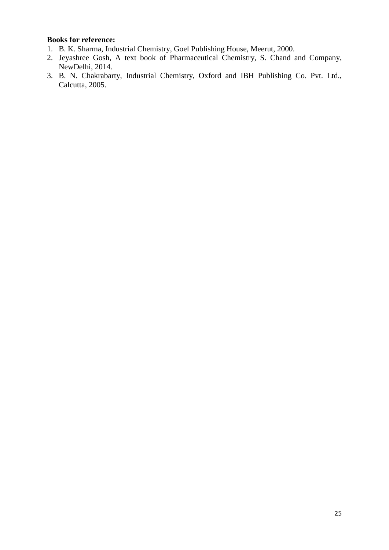# **Books for reference:**

- 1. B. K. Sharma, Industrial Chemistry, Goel Publishing House, Meerut, 2000.
- 2. Jeyashree Gosh, A text book of Pharmaceutical Chemistry, S. Chand and Company, NewDelhi, 2014.
- 3. B. N. Chakrabarty, Industrial Chemistry, Oxford and IBH Publishing Co. Pvt. Ltd., Calcutta, 2005.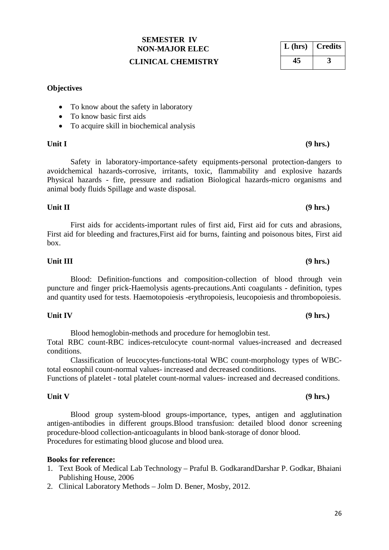# **SEMESTER IV NON-MAJOR ELEC**

# **CLINICAL CHEMISTRY**

# **Objectives**

- To know about the safety in laboratory
- To know basic first aids
- To acquire skill in biochemical analysis

Safety in laboratory-importance-safety equipments-personal protection-dangers to avoidchemical hazards-corrosive, irritants, toxic, flammability and explosive hazards Physical hazards - fire, pressure and radiation Biological hazards-micro organisms and animal body fluids Spillage and waste disposal.

# First aids for accidents-important rules of first aid, First aid for cuts and abrasions, First aid for bleeding and fractures,First aid for burns, fainting and poisonous bites, First aid box.

Blood: Definition-functions and composition-collection of blood through vein

# **Unit III (9 hrs.)**

# **Unit IV (9 hrs.)**

Blood hemoglobin-methods and procedure for hemoglobin test. Total RBC count-RBC indices-retculocyte count-normal values-increased and decreased conditions.

puncture and finger prick-Haemolysis agents-precautions.Anti coagulants - definition, types and quantity used for tests. Haemotopoiesis -erythropoiesis, leucopoiesis and thrombopoiesis.

Classification of leucocytes-functions-total WBC count-morphology types of WBCtotal eosnophil count-normal values- increased and decreased conditions.

Functions of platelet - total platelet count-normal values- increased and decreased conditions.

Blood group system-blood groups-importance, types, antigen and agglutination antigen-antibodies in different groups.Blood transfusion: detailed blood donor screening procedure-blood collection-anticoagulants in blood bank-storage of donor blood. Procedures for estimating blood glucose and blood urea.

## **Books for reference:**

- 1. Text Book of Medical Lab Technology Praful B. GodkarandDarshar P. Godkar, Bhaiani Publishing House, 2006
- 2. Clinical Laboratory Methods Jolm D. Bener, Mosby, 2012.

# **L (hrs) Credits 45 3**

# **Unit V (9 hrs.)**

# **Unit II (9 hrs.)**

# **Unit I (9 hrs.)**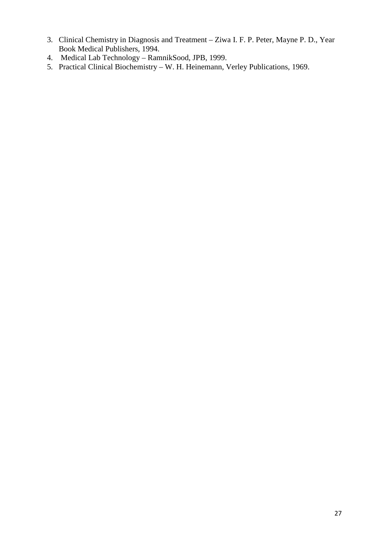- 3. Clinical Chemistry in Diagnosis and Treatment Ziwa I. F. P. Peter, Mayne P. D., Year Book Medical Publishers, 1994.
- 4. Medical Lab Technology RamnikSood, JPB, 1999.
- 5. Practical Clinical Biochemistry W. H. Heinemann, Verley Publications, 1969.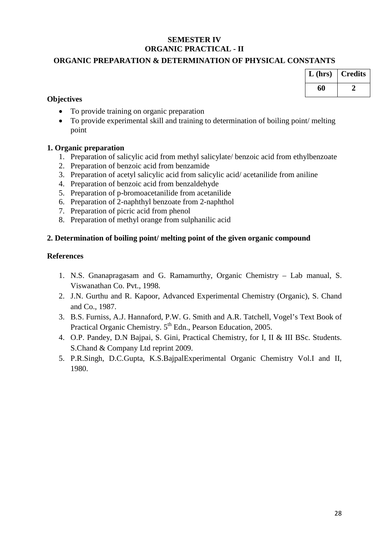# **SEMESTER IV ORGANIC PRACTICAL - II**

# **ORGANIC PREPARATION & DETERMINATION OF PHYSICAL CONSTANTS**

| $L$ (hrs) | <b>Credits</b> |
|-----------|----------------|
| 60        |                |

## **Objectives**

- To provide training on organic preparation
- To provide experimental skill and training to determination of boiling point/ melting point

# **1. Organic preparation**

- 1. Preparation of salicylic acid from methyl salicylate/ benzoic acid from ethylbenzoate
- 2. Preparation of benzoic acid from benzamide
- 3. Preparation of acetyl salicylic acid from salicylic acid/ acetanilide from aniline
- 4. Preparation of benzoic acid from benzaldehyde
- 5. Preparation of p-bromoacetanilide from acetanilide
- 6. Preparation of 2-naphthyl benzoate from 2-naphthol
- 7. Preparation of picric acid from phenol
- 8. Preparation of methyl orange from sulphanilic acid

# **2. Determination of boiling point/ melting point of the given organic compound**

## **References**

- 1. N.S. Gnanapragasam and G. Ramamurthy, Organic Chemistry Lab manual, S. Viswanathan Co. Pvt., 1998.
- 2. J.N. Gurthu and R. Kapoor, Advanced Experimental Chemistry (Organic), S. Chand and Co., 1987.
- 3. B.S. Furniss, A.J. Hannaford, P.W. G. Smith and A.R. Tatchell, Vogel's Text Book of Practical Organic Chemistry. 5<sup>th</sup> Edn., Pearson Education, 2005.
- 4. O.P. Pandey, D.N Bajpai, S. Gini, Practical Chemistry, for I, II & III BSc. Students. S.Chand & Company Ltd reprint 2009.
- 5. P.R.Singh, D.C.Gupta, K.S.BajpalExperimental Organic Chemistry Vol.I and II, 1980.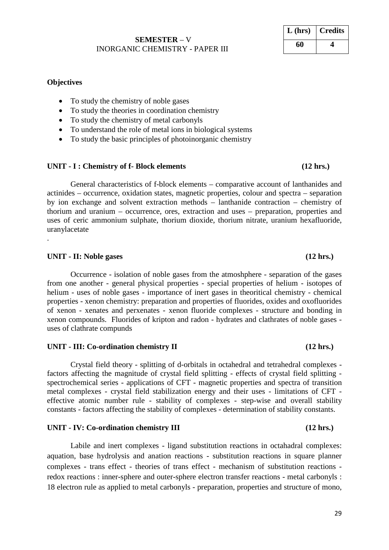# **SEMESTER** – V INORGANIC CHEMISTRY - PAPER III

# **Objectives**

- To study the chemistry of noble gases
- To study the theories in coordination chemistry
- To study the chemistry of metal carbonyls
- To understand the role of metal ions in biological systems
- To study the basic principles of photoinorganic chemistry

# **UNIT - I : Chemistry of f- Block elements (12 hrs.)**

General characteristics of f-block elements – comparative account of lanthanides and actinides – occurrence, oxidation states, magnetic properties, colour and spectra – separation by ion exchange and solvent extraction methods – lanthanide contraction – chemistry of thorium and uranium – occurrence, ores, extraction and uses – preparation, properties and uses of ceric ammonium sulphate, thorium dioxide, thorium nitrate, uranium hexafluoride, uranylacetate

# **UNIT - II: Noble gases (12 hrs.)**

.

Occurrence - isolation of noble gases from the atmoshphere - separation of the gases from one another - general physical properties - special properties of helium - isotopes of helium - uses of noble gases - importance of inert gases in theoritical chemistry - chemical properties - xenon chemistry: preparation and properties of fluorides, oxides and oxofluorides of xenon - xenates and perxenates - xenon fluoride complexes - structure and bonding in xenon compounds. Fluorides of kripton and radon - hydrates and clathrates of noble gases uses of clathrate compunds

# **UNIT - III: Co-ordination chemistry II (12 hrs.)**

Crystal field theory - splitting of d-orbitals in octahedral and tetrahedral complexes factors affecting the magnitude of crystal field splitting - effects of crystal field splitting spectrochemical series - applications of CFT - magnetic properties and spectra of transition metal complexes - crystal field stabilization energy and their uses - limitations of CFT effective atomic number rule - stability of complexes - step-wise and overall stability constants - factors affecting the stability of complexes - determination of stability constants.

# **UNIT - IV: Co-ordination chemistry III (12 hrs.)**

Labile and inert complexes - ligand substitution reactions in octahadral complexes: aquation, base hydrolysis and anation reactions - substitution reactions in square planner complexes - trans effect - theories of trans effect - mechanism of substitution reactions redox reactions : inner-sphere and outer-sphere electron transfer reactions - metal carbonyls : 18 electron rule as applied to metal carbonyls - preparation, properties and structure of mono,

**L (hrs) Credits**

**60 4**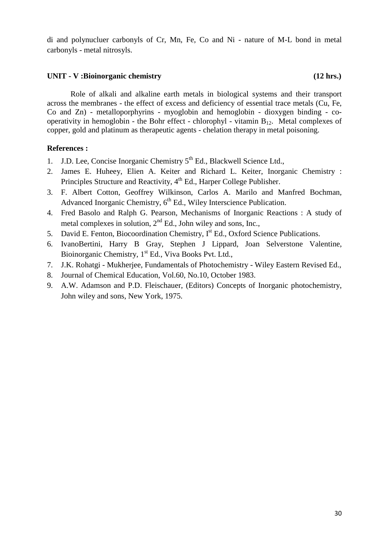di and polynucluer carbonyls of Cr, Mn, Fe, Co and Ni - nature of M-L bond in metal carbonyls - metal nitrosyls.

## **UNIT - V :Bioinorganic chemistry (12 hrs.)**

Role of alkali and alkaline earth metals in biological systems and their transport across the membranes - the effect of excess and deficiency of essential trace metals (Cu, Fe, Co and Zn) - metalloporphyrins - myoglobin and hemoglobin - dioxygen binding - cooperativity in hemoglobin - the Bohr effect - chlorophyl - vitamin  $B_{12}$ . Metal complexes of copper, gold and platinum as therapeutic agents - chelation therapy in metal poisoning.

# **References :**

- 1. J.D. Lee, Concise Inorganic Chemistry  $5<sup>th</sup>$  Ed., Blackwell Science Ltd.,
- 2. James E. Huheey, Elien A. Keiter and Richard L. Keiter, Inorganic Chemistry : Principles Structure and Reactivity, 4<sup>th</sup> Ed., Harper College Publisher.
- 3. F. Albert Cotton, Geoffrey Wilkinson, Carlos A. Marilo and Manfred Bochman, Advanced Inorganic Chemistry,  $6<sup>th</sup>$  Ed., Wiley Interscience Publication.
- 4. Fred Basolo and Ralph G. Pearson, Mechanisms of Inorganic Reactions : A study of metal complexes in solution,  $2<sup>nd</sup>$  Ed., John wiley and sons, Inc.,
- 5. David E. Fenton, Biocoordination Chemistry, I<sup>st</sup> Ed., Oxford Science Publications.
- 6. IvanoBertini, Harry B Gray, Stephen J Lippard, Joan Selverstone Valentine, Bioinorganic Chemistry, 1<sup>st</sup> Ed., Viva Books Pvt. Ltd.,
- 7. J.K. Rohatgi Mukherjee, Fundamentals of Photochemistry Wiley Eastern Revised Ed.,
- 8. Journal of Chemical Education, Vol.60, No.10, October 1983.
- 9. A.W. Adamson and P.D. Fleischauer, (Editors) Concepts of Inorganic photochemistry, John wiley and sons, New York, 1975.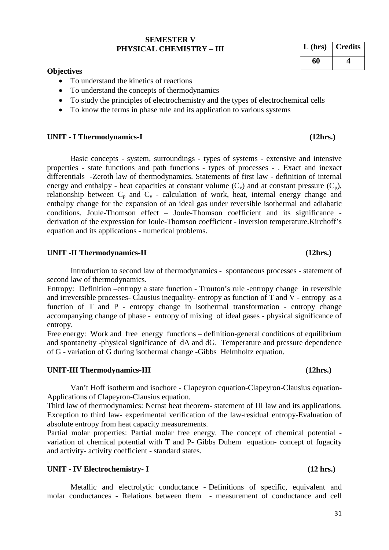### **SEMESTER V PHYSICAL CHEMISTRY – III**

### **Objectives**

- To understand the kinetics of reactions
- To understand the concepts of thermodynamics
- To study the principles of electrochemistry and the types of electrochemical cells
- To know the terms in phase rule and its application to various systems

### **UNIT - I Thermodynamics-I (12hrs.)**

Basic concepts - system, surroundings - types of systems - extensive and intensive properties - state functions and path functions - types of processes - . Exact and inexact differentials -Zeroth law of thermodynamics. Statements of first law - definition of internal energy and enthalpy - heat capacities at constant volume  $(C_v)$  and at constant pressure  $(C_p)$ , relationship between  $C_p$  and  $C_v$  - calculation of work, heat, internal energy change and enthalpy change for the expansion of an ideal gas under reversible isothermal and adiabatic conditions. Joule-Thomson effect – Joule-Thomson coefficient and its significance derivation of the expression for Joule-Thomson coefficient - inversion temperature.Kirchoff's equation and its applications - numerical problems.

### **UNIT -II Thermodynamics-II (12hrs.)**

Introduction to second law of thermodynamics - spontaneous processes - statement of second law of thermodynamics.

Entropy: Definition –entropy a state function - Trouton's rule -entropy change in reversible and irreversible processes- Clausius inequality- entropy as function of T and V - entropy as a function of T and P - entropy change in isothermal transformation - entropy change accompanying change of phase - entropy of mixing of ideal gases - physical significance of entropy.

Free energy: Work and free energy functions – definition-general conditions of equilibrium and spontaneity -physical significance of dA and dG. Temperature and pressure dependence of G - variation of G during isothermal change -Gibbs Helmholtz equation.

### **UNIT-III Thermodynamics-III (12hrs.)**

Van't Hoff isotherm and isochore - Clapeyron equation-Clapeyron-Clausius equation-Applications of Clapeyron-Clausius equation.

Third law of thermodynamics: Nernst heat theorem- statement of III law and its applications. Exception to third law- experimental verification of the law-residual entropy-Evaluation of absolute entropy from heat capacity measurements.

Partial molar properties: Partial molar free energy. The concept of chemical potential variation of chemical potential with T and P- Gibbs Duhem equation- concept of fugacity and activity- activity coefficient - standard states.

# **UNIT - IV Electrochemistry- I (12 hrs.)**

.

Metallic and electrolytic conductance - Definitions of specific, equivalent and molar conductances - Relations between them - measurement of conductance and cell

| $L$ (hrs) | <b>Credits</b> |
|-----------|----------------|
| 60        |                |

### 31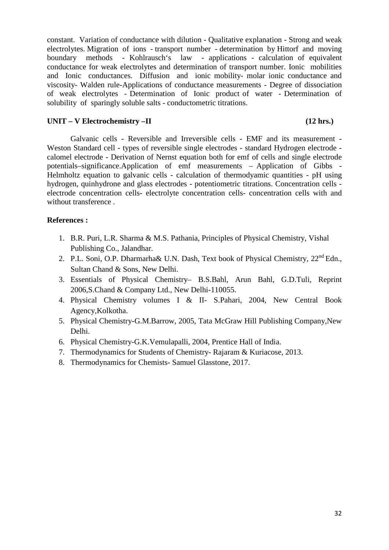constant. Variation of conductance with dilution - Qualitative explanation - Strong and weak electrolytes. Migration of ions - transport number - determination by Hittorf and moving boundary methods - Kohlrausch's law - applications - calculation of equivalent conductance for weak electrolytes and determination of transport number. Ionic mobilities and Ionic conductances. Diffusion and ionic mobility- molar ionic conductance and viscosity- Walden rule-Applications of conductance measurements - Degree of dissociation of weak electrolytes - Determination of Ionic product of water - Determination of solubility of sparingly soluble salts - conductometric titrations.

# **UNIT – V Electrochemistry –II (12 hrs.)**

Galvanic cells - Reversible and Irreversible cells - EMF and its measurement - Weston Standard cell - types of reversible single electrodes - standard Hydrogen electrode calomel electrode - Derivation of Nernst equation both for emf of cells and single electrode potentials–significance.Application of emf measurements – Application of Gibbs - Helmholtz equation to galvanic cells - calculation of thermodyamic quantities - pH using hydrogen, quinhydrone and glass electrodes - potentiometric titrations. Concentration cells electrode concentration cells- electrolyte concentration cells- concentration cells with and without transference .

# **References :**

- 1. B.R. Puri, L.R. Sharma & M.S. Pathania, Principles of Physical Chemistry, Vishal Publishing Co., Jalandhar.
- 2. P.L. Soni, O.P. Dharmarha& U.N. Dash, Text book of Physical Chemistry, 22<sup>nd</sup> Edn., Sultan Chand & Sons, New Delhi.
- 3. Essentials of Physical Chemistry– B.S.Bahl, Arun Bahl, G.D.Tuli, Reprint 2006,S.Chand & Company Ltd., New Delhi-110055.
- 4. Physical Chemistry volumes I & II- S.Pahari, 2004, New Central Book Agency,Kolkotha.
- 5. Physical Chemistry-G.M.Barrow, 2005, Tata McGraw Hill Publishing Company,New Delhi.
- 6. Physical Chemistry-G.K.Vemulapalli, 2004, Prentice Hall of India.
- 7. Thermodynamics for Students of Chemistry- Rajaram & Kuriacose, 2013.
- 8. Thermodynamics for Chemists- Samuel Glasstone, 2017.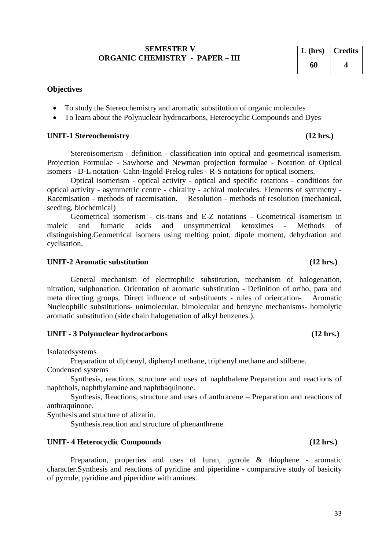# **SEMESTER V ORGANIC CHEMISTRY - PAPER – III**

# **Objectives**

- To study the Stereochemistry and aromatic substitution of organic molecules
- To learn about the Polynuclear hydrocarbons, Heterocyclic Compounds and Dyes

### **UNIT-1 Stereochemistry (12 hrs.)**

Stereoisomerism - definition - classification into optical and geometrical isomerism. Projection Formulae - Sawhorse and Newman projection formulae - Notation of Optical isomers - D-L notation- Cahn-Ingold-Prelog rules - R-S notations for optical isomers.

Optical isomerism - optical activity - optical and specific rotations - conditions for optical activity - asymmetric centre - chirality - achiral molecules. Elements of symmetry - Racemisation - methods of racemisation. Resolution - methods of resolution (mechanical, seeding, biochemical)

Geometrical isomerism - cis-trans and E-Z notations - Geometrical isomerism in maleic and fumaric acids and unsymmetrical ketoximes - Methods of distinguishing.Geometrical isomers using melting point, dipole moment, dehydration and cyclisation.

### **UNIT-2 Aromatic substitution (12 hrs.)**

General mechanism of electrophilic substitution, mechanism of halogenation, nitration, sulphonation. Orientation of aromatic substitution - Definition of ortho, para and meta directing groups. Direct influence of substituents - rules of orientation- Aromatic Nucleophilic substitutions- unimolecular, bimolecular and benzyne mechanisms- homolytic aromatic substitution (side chain halogenation of alkyl benzenes.).

## **UNIT - 3 Polynuclear hydrocarbons (12 hrs.)**

Isolatedsystems

Preparation of diphenyl, diphenyl methane, triphenyl methane and stilbene.

Condensed systems

Synthesis, reactions, structure and uses of naphthalene.Preparation and reactions of naphthols, naphthylamine and naphthaquinone.

Synthesis, Reactions, structure and uses of anthracene – Preparation and reactions of anthraquinone.

Synthesis and structure of alizarin.

Synthesis.reaction and structure of phenanthrene.

### **UNIT- 4 Heterocyclic Compounds (12 hrs.)**

Preparation, properties and uses of furan, pyrrole & thiophene - aromatic character.Synthesis and reactions of pyridine and piperidine - comparative study of basicity of pyrrole, pyridine and piperidine with amines.

# **L (hrs) Credits 60 4**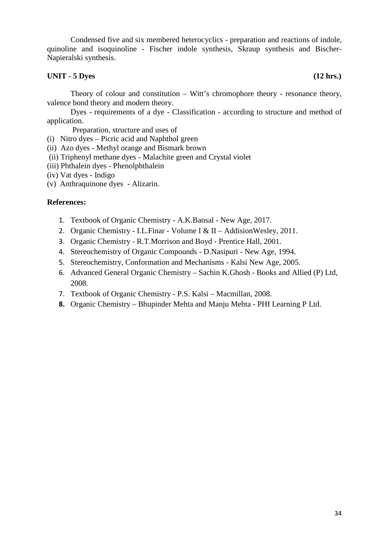Condensed five and six membered heterocyclics - preparation and reactions of indole, quinoline and isoquinoline - Fischer indole synthesis, Skraup synthesis and Bischer-Napieralski synthesis.

# **UNIT - 5 Dyes (12 hrs.)**

Theory of colour and constitution – Witt's chromophore theory - resonance theory, valence bond theory and modern theory.

Dyes - requirements of a dye - Classification - according to structure and method of application.

Preparation, structure and uses of

- (i) Nitro dyes Picric acid and Naphthol green
- (ii) Azo dyes Methyl orange and Bismark brown
- (ii) Triphenyl methane dyes Malachite green and Crystal violet
- (iii) Phthalein dyes Phenolphthalein
- (iv) Vat dyes Indigo
- (v) Anthraquinone dyes Alizarin.

### **References:**

- 1. Textbook of Organic Chemistry A.K.Bansal New Age, 2017.
- 2. Organic Chemistry I.L.Finar Volume I & II AddisionWesley, 2011.
- 3. Organic Chemistry R.T.Morrison and Boyd Prentice Hall, 2001.
- 4. Stereochemistry of Organic Compounds D.Nasipuri New Age, 1994.
- 5. Stereochemistry, Conformation and Mechanisms Kalsi New Age, 2005.
- 6. Advanced General Organic Chemistry Sachin K.Ghosh Books and Allied (P) Ltd, 2008.
- 7. Textbook of Organic Chemistry P.S. Kalsi Macmillan, 2008.
- **8.** Organic Chemistry Bhupinder Mehta and Manju Mehta PHI Learning P Ltd.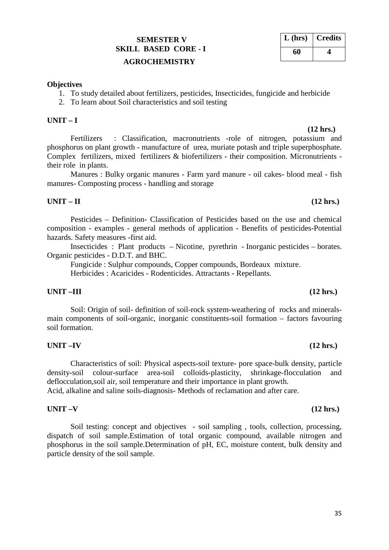# **SEMESTER V SKILL BASED CORE - I**

# **AGROCHEMISTRY**

# **Objectives**

- 1. To study detailed about fertilizers, pesticides, Insecticides, fungicide and herbicide
- 2. To learn about Soil characteristics and soil testing

# **UNIT – I**

 **(12 hrs.)** Fertilizers : Classification, macronutrients -role of nitrogen, potassium and phosphorus on plant growth - manufacture of urea, muriate potash and triple superphosphate. Complex fertilizers, mixed fertilizers & biofertilizers - their composition. Micronutrients their role in plants.

Manures : Bulky organic manures - Farm yard manure - oil cakes- blood meal - fish manures- Composting process - handling and storage

# **UNIT – II (12 hrs.)**

Pesticides – Definition- Classification of Pesticides based on the use and chemical composition - examples - general methods of application - Benefits of pesticides-Potential hazards. Safety measures -first aid.

Insecticides : Plant products – Nicotine, pyrethrin - Inorganic pesticides – borates. Organic pesticides - D.D.T. and BHC.

Fungicide : Sulphur compounds, Copper compounds, Bordeaux mixture. Herbicides : Acaricides - Rodenticides. Attractants - Repellants.

# **UNIT –III (12 hrs.)**

Soil: Origin of soil- definition of soil-rock system-weathering of rocks and mineralsmain components of soil-organic, inorganic constituents-soil formation – factors favouring soil formation.

# **UNIT –IV (12 hrs.)**

Characteristics of soil: Physical aspects-soil texture- pore space-bulk density, particle density-soil colour-surface area-soil colloids-plasticity, shrinkage-flocculation and deflocculation,soil air, soil temperature and their importance in plant growth.

Acid, alkaline and saline soils-diagnosis- Methods of reclamation and after care.

# **UNIT –V (12 hrs.)**

Soil testing: concept and objectives - soil sampling , tools, collection, processing, dispatch of soil sample.Estimation of total organic compound, available nitrogen and phosphorus in the soil sample.Determination of pH, EC, moisture content, bulk density and particle density of the soil sample.

| $L$ (hrs) | <b>Credits</b> |
|-----------|----------------|
| 60        |                |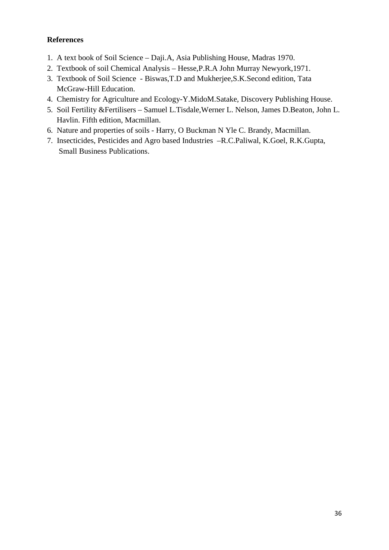# **References**

- 1. A text book of Soil Science Daji.A, Asia Publishing House, Madras 1970.
- 2. Textbook of soil Chemical Analysis Hesse,P.R.A John Murray Newyork,1971.
- 3. Textbook of Soil Science Biswas,T.D and Mukherjee,S.K.Second edition, Tata McGraw-Hill Education.
- 4. Chemistry for Agriculture and Ecology-Y.MidoM.Satake, Discovery Publishing House.
- 5. Soil Fertility &Fertilisers Samuel L.Tisdale,Werner L. Nelson, James D.Beaton, John L. Havlin. Fifth edition, Macmillan.
- 6. Nature and properties of soils Harry, O Buckman N Yle C. Brandy, Macmillan.
- 7. Insecticides, Pesticides and Agro based Industries –R.C.Paliwal, K.Goel, R.K.Gupta, Small Business Publications.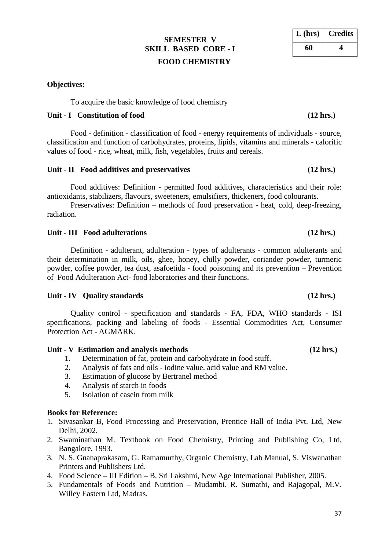# **SEMESTER V SKILL BASED CORE - I FOOD CHEMISTRY**

# **Objectives:**

To acquire the basic knowledge of food chemistry

# **Unit - I Constitution of food (12 hrs.)**

Food - definition - classification of food - energy requirements of individuals - source, classification and function of carbohydrates, proteins, lipids, vitamins and minerals - calorific values of food - rice, wheat, milk, fish, vegetables, fruits and cereals.

## Unit - **II** Food additives and preservatives (12 hrs.)

Food additives: Definition - permitted food additives, characteristics and their role: antioxidants, stabilizers, flavours, sweeteners, emulsifiers, thickeners, food colourants.

Preservatives: Definition – methods of food preservation - heat, cold, deep-freezing, radiation.

## **Unit - III Food adulterations (12 hrs.)**

Definition - adulterant, adulteration - types of adulterants - common adulterants and their determination in milk, oils, ghee, honey, chilly powder, coriander powder, turmeric powder, coffee powder, tea dust, asafoetida - food poisoning and its prevention – Prevention of Food Adulteration Act- food laboratories and their functions.

## **Unit - IV Quality standards (12 hrs.)**

Quality control - specification and standards - FA, FDA, WHO standards - ISI specifications, packing and labeling of foods - Essential Commodities Act, Consumer Protection Act - AGMARK.

## **Unit - V Estimation and analysis methods (12 hrs.)**

- 1. Determination of fat, protein and carbohydrate in food stuff.
- 2. Analysis of fats and oils iodine value, acid value and RM value.
- 3. Estimation of glucose by Bertranel method
- 4. Analysis of starch in foods
- 5. Isolation of casein from milk

## **Books for Reference:**

- 1. Sivasankar B, Food Processing and Preservation, Prentice Hall of India Pvt. Ltd, New Delhi, 2002.
- 2. Swaminathan M. Textbook on Food Chemistry, Printing and Publishing Co, Ltd, Bangalore, 1993.
- 3. N. S. Gnanaprakasam, G. Ramamurthy, Organic Chemistry, Lab Manual, S. Viswanathan Printers and Publishers Ltd.
- 4. Food Science III Edition B. Sri Lakshmi, New Age International Publisher, 2005.
- 5. Fundamentals of Foods and Nutrition Mudambi. R. Sumathi, and Rajagopal, M.V. Willey Eastern Ltd, Madras.

**L (hrs) Credits**

**60 4**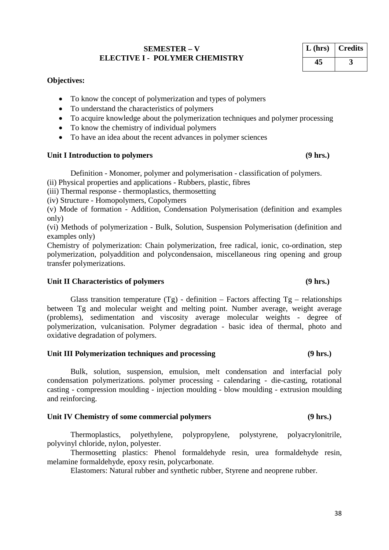38

# **SEMESTER – V ELECTIVE I - POLYMER CHEMISTRY**

# **Objectives:**

- To know the concept of polymerization and types of polymers
- To understand the characteristics of polymers
- To acquire knowledge about the polymerization techniques and polymer processing
- To know the chemistry of individual polymers
- To have an idea about the recent advances in polymer sciences

# Unit I Introduction to polymers **(9 hrs.)**

Definition - Monomer, polymer and polymerisation - classification of polymers.

(ii) Physical properties and applications - Rubbers, plastic, fibres

(iii) Thermal response - thermoplastics, thermosetting

(iv) Structure - Homopolymers, Copolymers

(v) Mode of formation - Addition, Condensation Polymerisation (definition and examples only)

(vi) Methods of polymerization - Bulk, Solution, Suspension Polymerisation (definition and examples only)

Chemistry of polymerization: Chain polymerization, free radical, ionic, co-ordination, step polymerization, polyaddition and polycondensaion, miscellaneous ring opening and group transfer polymerizations.

# Unit II Characteristics of polymers (9 hrs.)

Glass transition temperature  $(Tg)$  - definition – Factors affecting  $Tg$  – relationships between Tg and molecular weight and melting point. Number average, weight average (problems), sedimentation and viscosity average molecular weights - degree of polymerization, vulcanisation. Polymer degradation - basic idea of thermal, photo and oxidative degradation of polymers.

# **Unit III Polymerization techniques and processing (9 hrs.)**

Bulk, solution, suspension, emulsion, melt condensation and interfacial poly condensation polymerizations. polymer processing - calendaring - die-casting, rotational casting - compression moulding - injection moulding - blow moulding - extrusion moulding and reinforcing.

# **Unit IV Chemistry of some commercial polymers (9 hrs.)**

Thermoplastics, polyethylene, polypropylene, polystyrene, polyacrylonitrile, polyvinyl chloride, nylon, polyester.

Thermosetting plastics: Phenol formaldehyde resin, urea formaldehyde resin, melamine formaldehyde, epoxy resin, polycarbonate.

Elastomers: Natural rubber and synthetic rubber, Styrene and neoprene rubber.

# **L (hrs) Credits 45 3**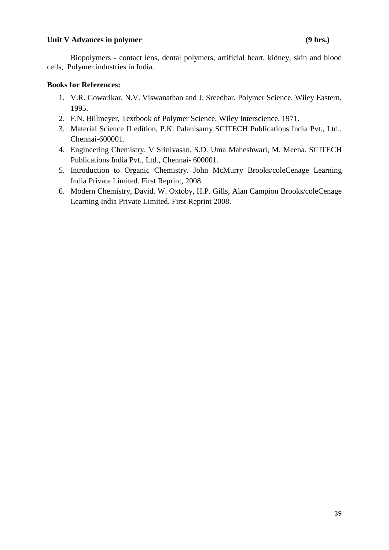## Unit V Advances in polymer **(9 hrs.)**

Biopolymers - contact lens, dental polymers, artificial heart, kidney, skin and blood cells, Polymer industries in India.

## **Books for References:**

- 1. V.R. Gowarikar, N.V. Viswanathan and J. Sreedhar. Polymer Science, Wiley Eastern, 1995.
- 2. F.N. Billmeyer, Textbook of Polymer Science, Wiley Interscience, 1971.
- 3. Material Science II edition, P.K. Palanisamy SCITECH Publications India Pvt., Ltd., Chennai-600001.
- 4. Engineering Chemistry, V Srinivasan, S.D. Uma Maheshwari, M. Meena. SCITECH Publications India Pvt., Ltd., Chennai- 600001.
- 5. Introduction to Organic Chemistry. John McMurry Brooks/coleCenage Learning India Private Limited. First Reprint, 2008.
- 6. Modern Chemistry, David. W. Oxtoby, H.P. Gills, Alan Campion Brooks/coleCenage Learning India Private Limited. First Reprint 2008.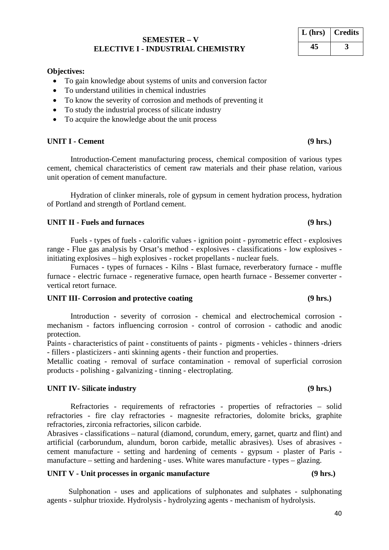### **SEMESTER – V ELECTIVE I - INDUSTRIAL CHEMISTRY**

### **Objectives:**

- To gain knowledge about systems of units and conversion factor
- To understand utilities in chemical industries
- To know the severity of corrosion and methods of preventing it
- To study the industrial process of silicate industry
- To acquire the knowledge about the unit process

## **UNIT I - Cement (9 hrs.)**

Introduction-Cement manufacturing process, chemical composition of various types cement, chemical characteristics of cement raw materials and their phase relation, various unit operation of cement manufacture.

Hydration of clinker minerals, role of gypsum in cement hydration process, hydration of Portland and strength of Portland cement.

### **UNIT II - Fuels and furnaces (9 hrs.)**

Fuels - types of fuels - calorific values - ignition point - pyrometric effect - explosives range - Flue gas analysis by Orsat's method - explosives - classifications - low explosives initiating explosives – high explosives - rocket propellants - nuclear fuels.

Furnaces - types of furnaces - Kilns - Blast furnace, reverberatory furnace - muffle furnace - electric furnace - regenerative furnace, open hearth furnace - Bessemer converter vertical retort furnace.

### **UNIT III- Corrosion and protective coating (9 hrs.)**

Introduction - severity of corrosion - chemical and electrochemical corrosion mechanism - factors influencing corrosion - control of corrosion - cathodic and anodic protection.

Paints - characteristics of paint - constituents of paints - pigments - vehicles - thinners -driers - fillers - plasticizers - anti skinning agents - their function and properties.

Metallic coating - removal of surface contamination - removal of superficial corrosion products - polishing - galvanizing - tinning - electroplating.

### **UNIT IV- Silicate industry (9 hrs.)**

Refractories - requirements of refractories - properties of refractories – solid refractories - fire clay refractories - magnesite refractories, dolomite bricks, graphite refractories, zirconia refractories, silicon carbide.

Abrasives - classifications – natural (diamond, corundum, emery, garnet, quartz and flint) and artificial (carborundum, alundum, boron carbide, metallic abrasives). Uses of abrasives cement manufacture - setting and hardening of cements - gypsum - plaster of Paris manufacture – setting and hardening - uses. White wares manufacture - types – glazing.

# **UNIT V - Unit processes in organic manufacture (9 hrs.)**

 Sulphonation - uses and applications of sulphonates and sulphates - sulphonating agents - sulphur trioxide. Hydrolysis - hydrolyzing agents - mechanism of hydrolysis.

# **L (hrs) Credits 45 3**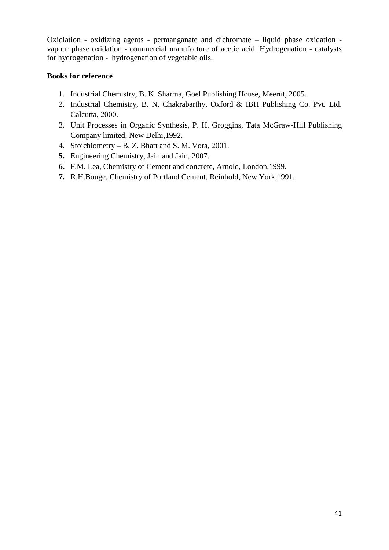Oxidiation - oxidizing agents - permanganate and dichromate – liquid phase oxidation vapour phase oxidation - commercial manufacture of acetic acid. Hydrogenation - catalysts for hydrogenation - hydrogenation of vegetable oils.

# **Books for reference**

- 1. Industrial Chemistry, B. K. Sharma, Goel Publishing House, Meerut, 2005.
- 2. Industrial Chemistry, B. N. Chakrabarthy, Oxford & IBH Publishing Co. Pvt. Ltd. Calcutta, 2000.
- 3. Unit Processes in Organic Synthesis, P. H. Groggins, Tata McGraw-Hill Publishing Company limited, New Delhi,1992.
- 4. Stoichiometry B. Z. Bhatt and S. M. Vora, 2001.
- **5.** Engineering Chemistry, Jain and Jain, 2007.
- **6.** F.M. Lea, Chemistry of Cement and concrete, Arnold, London,1999.
- **7.** R.H.Bouge, Chemistry of Portland Cement, Reinhold, New York,1991.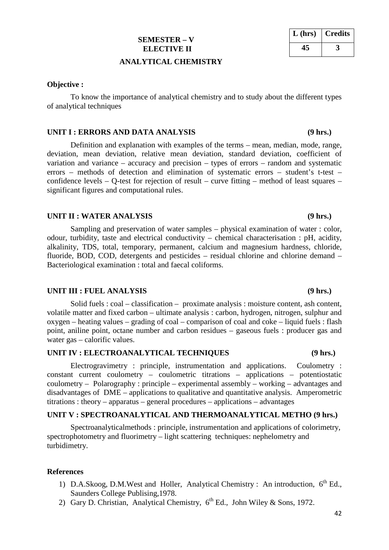### **SEMESTER – V ELECTIVE II**

### **ANALYTICAL CHEMISTRY**

### **Objective :**

To know the importance of analytical chemistry and to study about the different types of analytical techniques

### **UNIT I : ERRORS AND DATA ANALYSIS (9 hrs.)**

Definition and explanation with examples of the terms – mean, median, mode, range, deviation, mean deviation, relative mean deviation, standard deviation, coefficient of variation and variance – accuracy and precision – types of errors – random and systematic errors – methods of detection and elimination of systematic errors – student's t-test – confidence levels – Q-test for rejection of result – curve fitting – method of least squares – significant figures and computational rules.

### **UNIT II : WATER ANALYSIS (9 hrs.)**

Sampling and preservation of water samples – physical examination of water : color, odour, turbidity, taste and electrical conductivity – chemical characterisation : pH, acidity, alkalinity, TDS, total, temporary, permanent, calcium and magnesium hardness, chloride, fluoride, BOD, COD, detergents and pesticides – residual chlorine and chlorine demand – Bacteriological examination : total and faecal coliforms.

### **UNIT III : FUEL ANALYSIS (9 hrs.)**

Solid fuels : coal – classification – proximate analysis : moisture content, ash content, volatile matter and fixed carbon – ultimate analysis : carbon, hydrogen, nitrogen, sulphur and oxygen – heating values – grading of coal – comparison of coal and coke – liquid fuels : flash point, aniline point, octane number and carbon residues – gaseous fuels : producer gas and water gas – calorific values.

### UNIT IV : ELECTROANALYTICAL TECHNIQUES (9 hrs.)

Electrogravimetry : principle, instrumentation and applications. Coulometry : constant current coulometry – coulometric titrations – applications – potentiostatic coulometry – Polarography : principle – experimental assembly – working – advantages and disadvantages of DME – applications to qualitative and quantitative analysis. Amperometric titrations : theory – apparatus – general procedures – applications – advantages

### **UNIT V : SPECTROANALYTICAL AND THERMOANALYTICAL METHO (9 hrs.)**

Spectroanalyticalmethods : principle, instrumentation and applications of colorimetry, spectrophotometry and fluorimetry – light scattering techniques: nephelometry and turbidimetry.

### **References**

- 1) D.A.Skoog, D.M.West and Holler, Analytical Chemistry : An introduction, 6<sup>th</sup> Ed., Saunders College Publising,1978.
- 2) Gary D. Christian, Analytical Chemistry,  $6^{th}$  Ed., John Wiley & Sons, 1972.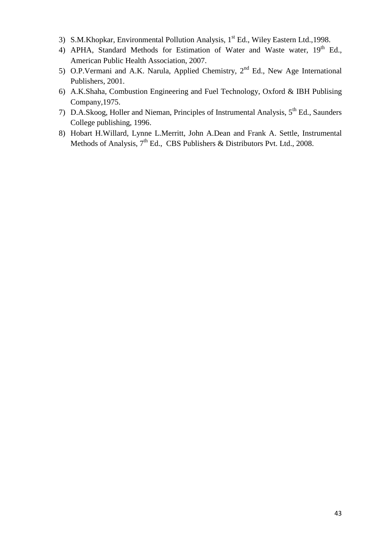- 3) S.M.Khopkar, Environmental Pollution Analysis, 1<sup>st</sup> Ed., Wiley Eastern Ltd.,1998.
- 4) APHA, Standard Methods for Estimation of Water and Waste water, 19<sup>th</sup> Ed., American Public Health Association, 2007.
- 5) O.P.Vermani and A.K. Narula, Applied Chemistry, 2<sup>nd</sup> Ed., New Age International Publishers, 2001.
- 6) A.K.Shaha, Combustion Engineering and Fuel Technology, Oxford & IBH Publising Company,1975.
- 7) D.A.Skoog, Holler and Nieman, Principles of Instrumental Analysis, 5th Ed., Saunders College publishing, 1996.
- 8) Hobart H.Willard, Lynne L.Merritt, John A.Dean and Frank A. Settle, Instrumental Methods of Analysis, 7<sup>th</sup> Ed., CBS Publishers & Distributors Pvt. Ltd., 2008.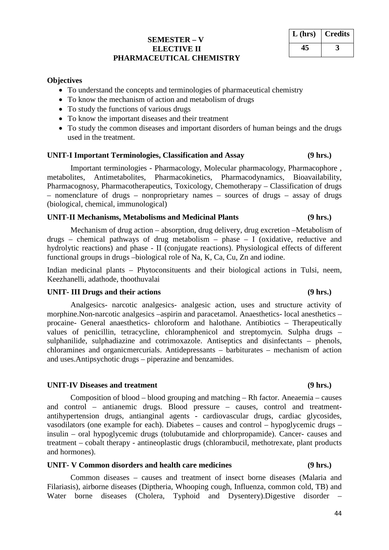# **SEMESTER – V ELECTIVE II PHARMACEUTICAL CHEMISTRY**

### **Objectives**

- To understand the concepts and terminologies of pharmaceutical chemistry
- To know the mechanism of action and metabolism of drugs
- To study the functions of various drugs
- To know the important diseases and their treatment
- To study the common diseases and important disorders of human beings and the drugs used in the treatment.

### **UNIT-I Important Terminologies, Classification and Assay (9 hrs.)**

Important terminologies - Pharmacology, Molecular pharmacology, Pharmacophore , metabolites, Antimetabolites, Pharmacokinetics, Pharmacodynamics, Bioavailability, Pharmacognosy, Pharmacotherapeutics, Toxicology, Chemotherapy – Classification of drugs – nomenclature of drugs – nonproprietary names – sources of drugs – assay of drugs (biological, chemical, immunological)

### **UNIT-II Mechanisms, Metabolisms and Medicinal Plants (9 hrs.)**

Mechanism of drug action – absorption, drug delivery, drug excretion –Metabolism of drugs – chemical pathways of drug metabolism – phase – I (oxidative, reductive and hydrolytic reactions) and phase - II (conjugate reactions). Physiological effects of different functional groups in drugs –biological role of Na, K, Ca, Cu, Zn and iodine.

Indian medicinal plants – Phytoconsituents and their biological actions in Tulsi, neem, Keezhanelli, adathode, thoothuvalai

### **UNIT- III Drugs and their actions (9 hrs.)**

Analgesics- narcotic analgesics- analgesic action, uses and structure activity of morphine.Non-narcotic analgesics –aspirin and paracetamol. Anaesthetics- local anesthetics – procaine- General anaesthetics- chloroform and halothane. Antibiotics – Therapeutically values of penicillin, tetracycline, chloramphenicol and streptomycin. Sulpha drugs – sulphanilide, sulphadiazine and cotrimoxazole. Antiseptics and disinfectants – phenols, chloramines and organicmercurials. Antidepressants – barbiturates – mechanism of action and uses.Antipsychotic drugs – piperazine and benzamides.

### **UNIT-IV Diseases and treatment (9 hrs.)**

Composition of blood – blood grouping and matching – Rh factor. Aneaemia – causes and control – antianemic drugs. Blood pressure – causes, control and treatmentantihypertension drugs, antianginal agents - cardiovascular drugs, cardiac glycosides, vasodilators (one example for each). Diabetes – causes and control – hypoglycemic drugs – insulin – oral hypoglycemic drugs (tolubutamide and chlorpropamide). Cancer- causes and treatment – cobalt therapy - antineoplastic drugs (chlorambucil, methotrexate, plant products and hormones).

## **UNIT- V Common disorders and health care medicines (9 hrs.)**

Common diseases – causes and treatment of insect borne diseases (Malaria and Filariasis), airborne diseases (Diptheria, Whooping cough, Influenza, common cold, TB) and Water borne diseases (Cholera, Typhoid and Dysentery). Digestive disorder

# **L (hrs) Credits 45 3**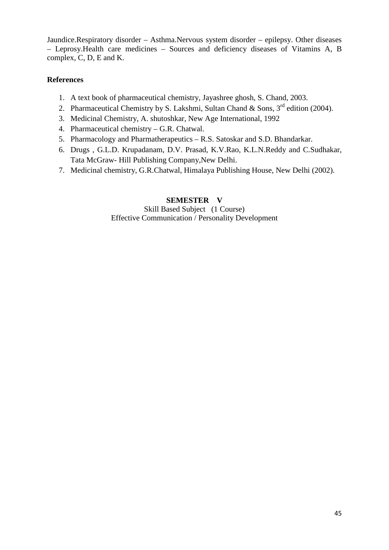Jaundice.Respiratory disorder – Asthma.Nervous system disorder – epilepsy. Other diseases – Leprosy.Health care medicines – Sources and deficiency diseases of Vitamins A, B complex, C, D, E and K.

# **References**

- 1. A text book of pharmaceutical chemistry, Jayashree ghosh, S. Chand, 2003.
- 2. Pharmaceutical Chemistry by S. Lakshmi, Sultan Chand & Sons,  $3<sup>rd</sup>$  edition (2004).
- 3. Medicinal Chemistry, A. shutoshkar, New Age International, 1992
- 4. Pharmaceutical chemistry G.R. Chatwal.
- 5. Pharmacology and Pharmatherapeutics R.S. Satoskar and S.D. Bhandarkar.
- 6. Drugs , G.L.D. Krupadanam, D.V. Prasad, K.V.Rao, K.L.N.Reddy and C.Sudhakar, Tata McGraw- Hill Publishing Company,New Delhi.
- 7. Medicinal chemistry, G.R.Chatwal, Himalaya Publishing House, New Delhi (2002).

# **SEMESTER V** Skill Based Subject (1 Course) Effective Communication / Personality Development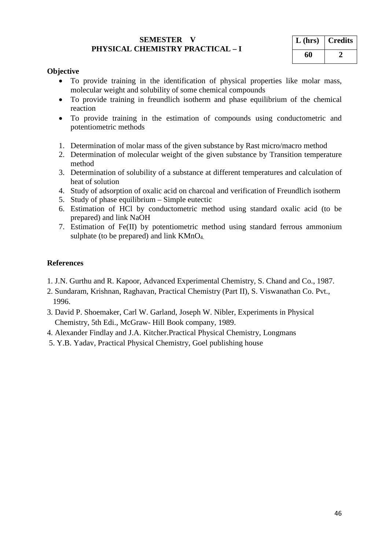## **SEMESTER V PHYSICAL CHEMISTRY PRACTICAL – I**

| $L$ (hrs) | <b>Credits</b> |
|-----------|----------------|
| 60        |                |

# **Objective**

- To provide training in the identification of physical properties like molar mass, molecular weight and solubility of some chemical compounds
- To provide training in freundlich isotherm and phase equilibrium of the chemical reaction
- To provide training in the estimation of compounds using conductometric and potentiometric methods
- 1. Determination of molar mass of the given substance by Rast micro/macro method
- 2. Determination of molecular weight of the given substance by Transition temperature method
- 3. Determination of solubility of a substance at different temperatures and calculation of heat of solution
- 4. Study of adsorption of oxalic acid on charcoal and verification of Freundlich isotherm
- 5. Study of phase equilibrium Simple eutectic
- 6. Estimation of HCl by conductometric method using standard oxalic acid (to be prepared) and link NaOH
- 7. Estimation of Fe(II) by potentiometric method using standard ferrous ammonium sulphate (to be prepared) and link  $KMnO<sub>4</sub>$ .

# **References**

- 1. J.N. Gurthu and R. Kapoor, Advanced Experimental Chemistry, S. Chand and Co., 1987.
- 2. Sundaram, Krishnan, Raghavan, Practical Chemistry (Part II), S. Viswanathan Co. Pvt., 1996.
- 3. David P. Shoemaker, Carl W. Garland, Joseph W. Nibler, Experiments in Physical Chemistry, 5th Edi., McGraw- Hill Book company, 1989.
- 4. Alexander Findlay and J.A. Kitcher.Practical Physical Chemistry, Longmans
- 5. Y.B. Yadav, Practical Physical Chemistry, Goel publishing house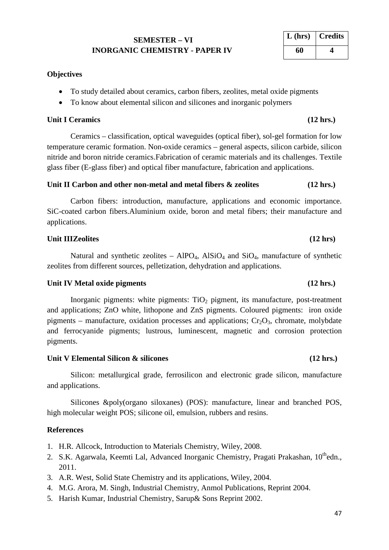# **SEMESTER – VI INORGANIC CHEMISTRY - PAPER IV**

# **Objectives**

- To study detailed about ceramics, carbon fibers, zeolites, metal oxide pigments
- To know about elemental silicon and silicones and inorganic polymers

# **Unit I Ceramics (12 hrs.)**

Ceramics – classification, optical waveguides (optical fiber), sol-gel formation for low temperature ceramic formation. Non-oxide ceramics – general aspects, silicon carbide, silicon nitride and boron nitride ceramics.Fabrication of ceramic materials and its challenges. Textile glass fiber (E-glass fiber) and optical fiber manufacture, fabrication and applications.

## Unit II Carbon and other non-metal and metal fibers  $\&$  zeolites (12 hrs.)

Carbon fibers: introduction, manufacture, applications and economic importance. SiC-coated carbon fibers.Aluminium oxide, boron and metal fibers; their manufacture and applications.

# Unit IIIZeolites (12 hrs)

Natural and synthetic zeolites –  $AIPO<sub>4</sub>$ ,  $AISiO<sub>4</sub>$  and  $SiO<sub>4</sub>$ , manufacture of synthetic zeolites from different sources, pelletization, dehydration and applications.

# **Unit IV Metal oxide pigments (12 hrs.)**

Inorganic pigments: white pigments:  $TiO<sub>2</sub>$  pigment, its manufacture, post-treatment and applications; ZnO white, lithopone and ZnS pigments. Coloured pigments: iron oxide pigments – manufacture, oxidation processes and applications;  $Cr_2O_3$ , chromate, molybdate and ferrocyanide pigments; lustrous, luminescent, magnetic and corrosion protection pigments.

# Unit V Elemental Silicon & silicones (12 hrs.)

Silicon: metallurgical grade, ferrosilicon and electronic grade silicon, manufacture and applications.

Silicones &poly(organo siloxanes) (POS): manufacture, linear and branched POS, high molecular weight POS; silicone oil, emulsion, rubbers and resins.

# **References**

- 1. H.R. Allcock, Introduction to Materials Chemistry, Wiley, 2008.
- 2. S.K. Agarwala, Keemti Lal, Advanced Inorganic Chemistry, Pragati Prakashan, 10<sup>th</sup>edn., 2011.
- 3. A.R. West, Solid State Chemistry and its applications, Wiley, 2004.
- 4. M.G. Arora, M. Singh, Industrial Chemistry, Anmol Publications, Reprint 2004.
- 5. Harish Kumar, Industrial Chemistry, Sarup& Sons Reprint 2002.

# **L (hrs) Credits 60 4**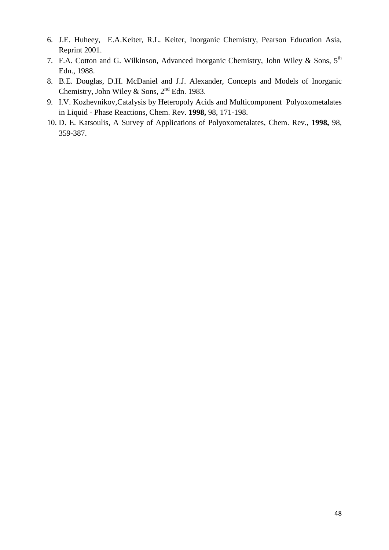- 6. J.E. Huheey, E.A.Keiter, R.L. Keiter, Inorganic Chemistry, Pearson Education Asia, Reprint 2001.
- 7. F.A. Cotton and G. Wilkinson, Advanced Inorganic Chemistry, John Wiley & Sons, 5<sup>th</sup> Edn., 1988.
- 8. B.E. Douglas, D.H. McDaniel and J.J. Alexander, Concepts and Models of Inorganic Chemistry, John Wiley & Sons,  $2<sup>nd</sup>$  Edn. 1983.
- 9. I.V. Kozhevnikov,Catalysis by Heteropoly Acids and Multicomponent Polyoxometalates in Liquid - Phase Reactions, Chem. Rev. **1998,** 98, 171-198.
- 10. D. E. Katsoulis, A Survey of Applications of Polyoxometalates, Chem. Rev., **1998,** 98, 359-387.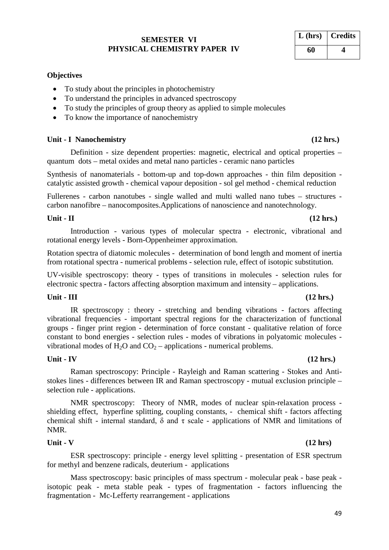### **SEMESTER VI PHYSICAL CHEMISTRY PAPER IV**

# **Objectives**

- To study about the principles in photochemistry
- To understand the principles in advanced spectroscopy
- To study the principles of group theory as applied to simple molecules
- To know the importance of nanochemistry

### **Unit - I Nanochemistry (12 hrs.)**

Definition - size dependent properties: magnetic, electrical and optical properties – quantum dots – metal oxides and metal nano particles - ceramic nano particles

Synthesis of nanomaterials - bottom-up and top-down approaches - thin film deposition catalytic assisted growth - chemical vapour deposition - sol gel method - chemical reduction

Fullerenes - carbon nanotubes - single walled and multi walled nano tubes – structures carbon nanofibre – nanocomposites.Applications of nanoscience and nanotechnology.

# **Unit - II (12 hrs.)**

Introduction - various types of molecular spectra - electronic, vibrational and rotational energy levels - Born-Oppenheimer approximation.

Rotation spectra of diatomic molecules - determination of bond length and moment of inertia from rotational spectra - numerical problems - selection rule, effect of isotopic substitution.

UV-visible spectroscopy: theory - types of transitions in molecules - selection rules for electronic spectra - factors affecting absorption maximum and intensity – applications.

### **Unit - III (12 hrs.)**

IR spectroscopy : theory - stretching and bending vibrations - factors affecting vibrational frequencies - important spectral regions for the characterization of functional groups - finger print region - determination of force constant - qualitative relation of force constant to bond energies - selection rules - modes of vibrations in polyatomic molecules vibrational modes of  $H_2O$  and  $CO_2$  – applications - numerical problems.

# **Unit - IV (12 hrs.)**

Raman spectroscopy: Principle - Rayleigh and Raman scattering - Stokes and Antistokes lines - differences between IR and Raman spectroscopy - mutual exclusion principle – selection rule - applications.

NMR spectroscopy: Theory of NMR, modes of nuclear spin-relaxation process shielding effect, hyperfine splitting, coupling constants, - chemical shift - factors affecting chemical shift - internal standard,  $\delta$  and  $\tau$  scale - applications of NMR and limitations of NMR.

### **Unit - V (12 hrs)**

ESR spectroscopy: principle - energy level splitting - presentation of ESR spectrum for methyl and benzene radicals, deuterium - applications

Mass spectroscopy: basic principles of mass spectrum - molecular peak - base peak isotopic peak - meta stable peak - types of fragmentation - factors influencing the fragmentation - Mc-Lefferty rearrangement - applications

| $L$ (hrs) | <b>Credits</b> |
|-----------|----------------|
| 60        |                |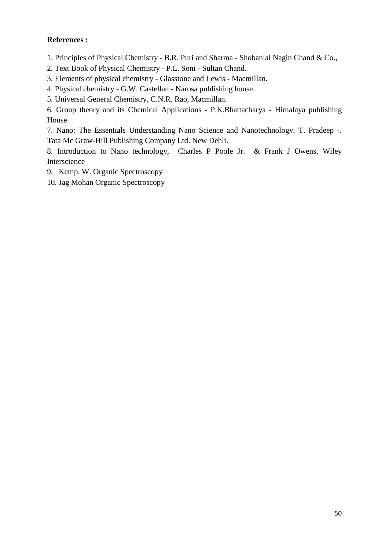# **References :**

1. Principles of Physical Chemistry - B.R. Puri and Sharma - Shobanlal Nagin Chand & Co.,

2. Text Book of Physical Chemistry - P.L. Soni - Sultan Chand.

3. Elements of physical chemistry - Glasstone and Lewis - Macmillan.

4. Physical chemistry - G.W. Castellan - Narosa publishing house.

5. Universal General Chemistry, C.N.R. Rao, Macmillan.

6. Group theory and its Chemical Applications - P.K.Bhattacharya - Himalaya publishing House.

7. Nano: The Essentials Understanding Nano Science and Nanotechnology. T. Pradeep -. Tata Mc Graw-Hill Publishing Company Ltd. New Dehli.

8. Introduction to Nano technology, Charles P Poole Jr. & Frank J Owens, Wiley Interscience

9. Kemp, W. Organic Spectroscopy

10. Jag Mohan Organic Spectroscopy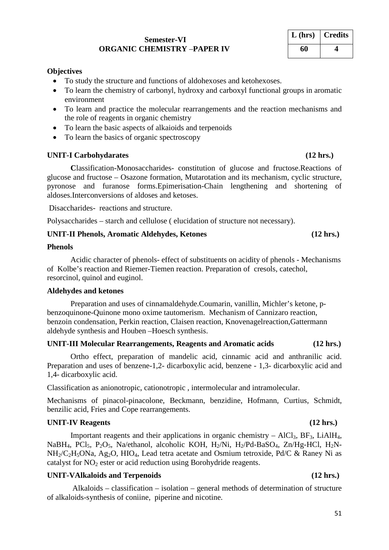### **Semester-VI ORGANIC CHEMISTRY** –**PAPER IV**

### **Objectives**

- To study the structure and functions of aldohexoses and ketohexoses.
- To learn the chemistry of carbonyl, hydroxy and carboxyl functional groups in aromatic environment
- To learn and practice the molecular rearrangements and the reaction mechanisms and the role of reagents in organic chemistry
- To learn the basic aspects of alkaioids and terpenoids
- To learn the basics of organic spectroscopy

### **UNIT-I Carbohydarates (12 hrs.)**

**C**lassification-Monosaccharides- constitution of glucose and fructose.Reactions of glucose and fructose – Osazone formation, Mutarotation and its mechanism, cyclic structure, pyronose and furanose forms.Epimerisation-Chain lengthening and shortening of aldoses.Interconversions of aldoses and ketoses.

Disaccharides- reactions and structure.

Polysaccharides – starch and cellulose ( elucidation of structure not necessary).

**UNIT-II Phenols, Aromatic Aldehydes, Ketones (12 hrs.)**

### **Phenols**

Acidic character of phenols- effect of substituents on acidity of phenols - Mechanisms of Kolbe's reaction and Riemer-Tiemen reaction. Preparation of cresols, catechol, resorcinol, quinol and euginol.

### **Aldehydes and ketones**

Preparation and uses of cinnamaldehyde.Coumarin, vanillin, Michler's ketone, pbenzoquinone-Quinone mono oxime tautomerism. Mechanism of Cannizaro reaction, benzoin condensation, Perkin reaction, Claisen reaction, Knovenagelreaction,Gattermann aldehyde synthesis and Houben –Hoesch synthesis.

### **UNIT-III Molecular Rearrangements, Reagents and Aromatic acids (12 hrs.)**

Ortho effect, preparation of mandelic acid, cinnamic acid and anthranilic acid. Preparation and uses of benzene-1,2- dicarboxylic acid, benzene - 1,3- dicarboxylic acid and 1,4- dicarboxylic acid.

Classification as anionotropic, cationotropic , intermolecular and intramolecular.

Mechanisms of pinacol-pinacolone, Beckmann, benzidine, Hofmann, Curtius, Schmidt, benzilic acid, Fries and Cope rearrangements.

### **UNIT-IV Reagents (12 hrs.)**

Important reagents and their applications in organic chemistry –  $AICI_3$ ,  $BF_3$ , LiAlH<sub>4</sub>, NaBH<sub>4</sub>, PCl<sub>5</sub>, P<sub>2</sub>O<sub>5</sub>, Na/ethanol, alcoholic KOH, H<sub>2</sub>/Ni, H<sub>2</sub>/Pd-BaSO<sub>4</sub>, Zn/Hg-HCl, H<sub>2</sub>N-NH<sub>2</sub>/C<sub>2</sub>H<sub>5</sub>ONa, Ag<sub>2</sub>O, HIO<sub>4</sub>, Lead tetra acetate and Osmium tetroxide, Pd/C & Raney Ni as catalyst for  $NO<sub>2</sub>$  ester or acid reduction using Borohydride reagents.

# **UNIT-VAlkaloids and Terpenoids (12 hrs.)**

Alkaloids – classification – isolation – general methods of determination of structure of alkaloids-synthesis of coniine, piperine and nicotine.

# **L (hrs) Credits 60 4**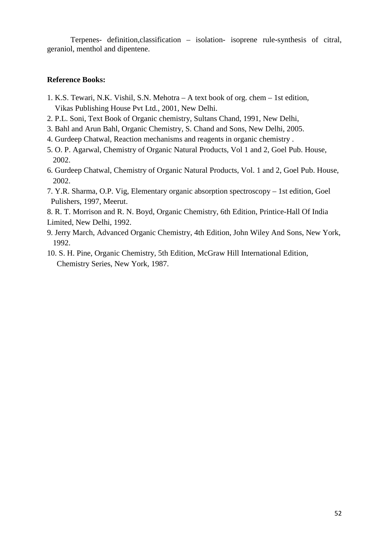Terpenes- definition,classification – isolation- isoprene rule-synthesis of citral, geraniol, menthol and dipentene.

# **Reference Books:**

- 1. K.S. Tewari, N.K. Vishil, S.N. Mehotra A text book of org. chem 1st edition, Vikas Publishing House Pvt Ltd., 2001, New Delhi.
- 2. P.L. Soni, Text Book of Organic chemistry, Sultans Chand, 1991, New Delhi,
- 3. Bahl and Arun Bahl, Organic Chemistry, S. Chand and Sons, New Delhi, 2005.
- 4. Gurdeep Chatwal, Reaction mechanisms and reagents in organic chemistry .
- 5. O. P. Agarwal, Chemistry of Organic Natural Products, Vol 1 and 2, Goel Pub. House, 2002.
- 6. Gurdeep Chatwal, Chemistry of Organic Natural Products, Vol. 1 and 2, Goel Pub. House, 2002.
- 7. Y.R. Sharma, O.P. Vig, Elementary organic absorption spectroscopy 1st edition, Goel Pulishers, 1997, Meerut.

8. R. T. Morrison and R. N. Boyd, Organic Chemistry, 6th Edition, Printice-Hall Of India Limited, New Delhi, 1992.

- 9. Jerry March, Advanced Organic Chemistry, 4th Edition, John Wiley And Sons, New York, 1992.
- 10. S. H. Pine, Organic Chemistry, 5th Edition, McGraw Hill International Edition, Chemistry Series, New York, 1987.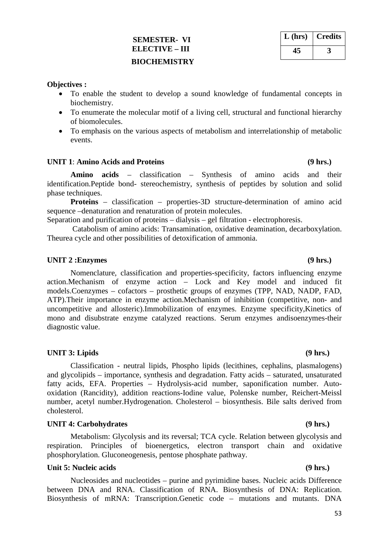# **SEMESTER- VI ELECTIVE – III BIOCHEMISTRY**

| $L$ (hrs) | <b>Credits</b> |
|-----------|----------------|
|           |                |

## **Objectives :**

- To enable the student to develop a sound knowledge of fundamental concepts in biochemistry.
- To enumerate the molecular motif of a living cell, structural and functional hierarchy of biomolecules.
- To emphasis on the various aspects of metabolism and interrelationship of metabolic events.

## **UNIT 1**: **Amino Acids and Proteins (9 hrs.)**

**Amino acids** – classification – Synthesis of amino acids and their identification.Peptide bond- stereochemistry, synthesis of peptides by solution and solid phase techniques.

**Proteins** – classification – properties-3D structure-determination of amino acid sequence –denaturation and renaturation of protein molecules.

Separation and purification of proteins – dialysis – gel filtration - electrophoresis.

Catabolism of amino acids: Transamination, oxidative deamination, decarboxylation. Theurea cycle and other possibilities of detoxification of ammonia.

## **UNIT 2 :Enzymes (9 hrs.)**

Nomenclature, classification and properties-specificity, factors influencing enzyme action.Mechanism of enzyme action – Lock and Key model and induced fit models.Coenzymes – cofactors – prosthetic groups of enzymes (TPP, NAD, NADP, FAD, ATP).Their importance in enzyme action.Mechanism of inhibition (competitive, non- and uncompetitive and allosteric).Immobilization of enzymes. Enzyme specificity,Kinetics of mono and disubstrate enzyme catalyzed reactions. Serum enzymes andisoenzymes-their diagnostic value.

## **UNIT 3: Lipids (9 hrs.)**

Classification - neutral lipids, Phospho lipids (lecithines, cephalins, plasmalogens) and glycolipids – importance, synthesis and degradation. Fatty acids – saturated, unsaturated fatty acids, EFA. Properties – Hydrolysis-acid number, saponification number. Autooxidation (Rancidity), addition reactions-Iodine value, Polenske number, Reichert-Meissl number, acetyl number.Hydrogenation. Cholesterol – biosynthesis. Bile salts derived from cholesterol.

## **UNIT 4: Carbohydrates (9 hrs.)**

Metabolism: Glycolysis and its reversal; TCA cycle. Relation between glycolysis and respiration. Principles of bioenergetics, electron transport chain and oxidative phosphorylation. Gluconeogenesis, pentose phosphate pathway.

# Unit 5: Nucleic acids (9 hrs.)

Nucleosides and nucleotides – purine and pyrimidine bases. Nucleic acids Difference between DNA and RNA. Classification of RNA. Biosynthesis of DNA: Replication. Biosynthesis of mRNA: Transcription.Genetic code – mutations and mutants. DNA

## 53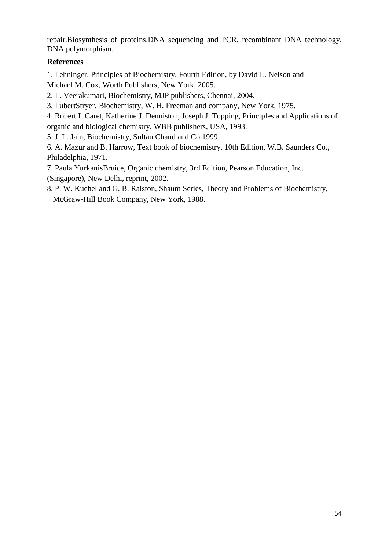repair.Biosynthesis of proteins.DNA sequencing and PCR, recombinant DNA technology, DNA polymorphism.

# **References**

1. Lehninger, Principles of Biochemistry, Fourth Edition, by David L. Nelson and Michael M. Cox, Worth Publishers, New York, 2005.

2. L. Veerakumari, Biochemistry, MJP publishers, Chennai, 2004.

3. LubertStryer, Biochemistry, W. H. Freeman and company, New York, 1975.

4. Robert L.Caret, Katherine J. Denniston, Joseph J. Topping, Principles and Applications of organic and biological chemistry, WBB publishers, USA, 1993.

5. J. L. Jain, Biochemistry, Sultan Chand and Co.1999

6. A. Mazur and B. Harrow, Text book of biochemistry, 10th Edition, W.B. Saunders Co., Philadelphia, 1971.

7. Paula YurkanisBruice, Organic chemistry, 3rd Edition, Pearson Education, Inc. (Singapore), New Delhi, reprint, 2002.

8. P. W. Kuchel and G. B. Ralston, Shaum Series, Theory and Problems of Biochemistry, McGraw-Hill Book Company, New York, 1988.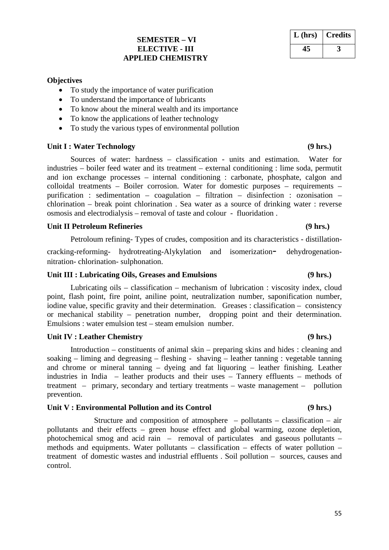# **SEMESTER – VI ELECTIVE - III APPLIED CHEMISTRY**

### **Objectives**

- To study the importance of water purification
- To understand the importance of lubricants
- To know about the mineral wealth and its importance
- To know the applications of leather technology
- To study the various types of environmental pollution

### **Unit I : Water Technology (9 hrs.)**

Sources of water: hardness – classification - units and estimation. Water for industries – boiler feed water and its treatment – external conditioning : lime soda, permutit and ion exchange processes – internal conditioning : carbonate, phosphate, calgon and colloidal treatments – Boiler corrosion. Water for domestic purposes – requirements – purification : sedimentation – coagulation – filtration – disinfection : ozonisation – chlorination – break point chlorination . Sea water as a source of drinking water : reverse osmosis and electrodialysis – removal of taste and colour - fluoridation .

### **Unit II Petroleum Refineries (9 hrs.)**

Petroloum refining- Types of crudes, composition and its characteristics - distillation-

cracking-reforming- hydrotreating-Alykylation and isomerization- dehydrogenationnitration- chlorination- sulphonation.

### **Unit III : Lubricating Oils, Greases and Emulsions (9 hrs.)**

Lubricating oils – classification – mechanism of lubrication : viscosity index, cloud point, flash point, fire point, aniline point, neutralization number, saponification number, iodine value, specific gravity and their determination. Greases : classification – consistency or mechanical stability – penetration number, dropping point and their determination. Emulsions : water emulsion test – steam emulsion number.

### **Unit IV : Leather Chemistry (9 hrs.)**

Introduction – constituents of animal skin – preparing skins and hides : cleaning and soaking – liming and degreasing – fleshing - shaving – leather tanning : vegetable tanning and chrome or mineral tanning – dyeing and fat liquoring – leather finishing. Leather industries in India – leather products and their uses – Tannery effluents – methods of treatment – primary, secondary and tertiary treatments – waste management – pollution prevention.

### **Unit V : Environmental Pollution and its Control (9 hrs.)**

Structure and composition of atmosphere – pollutants – classification – air pollutants and their effects – green house effect and global warming, ozone depletion, photochemical smog and acid rain – removal of particulates and gaseous pollutants – methods and equipments. Water pollutants – classification – effects of water pollution – treatment of domestic wastes and industrial effluents . Soil pollution – sources, causes and control.

# **L (hrs) Credits 45 3**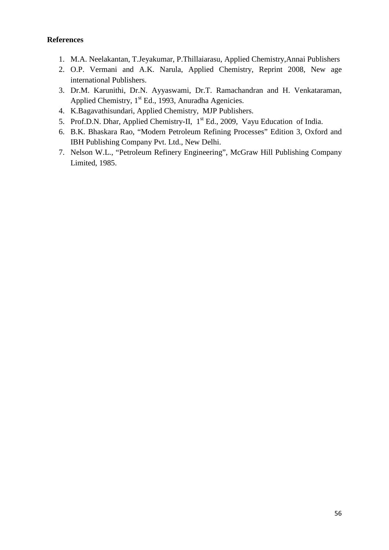# **References**

- 1. M.A. Neelakantan, T.Jeyakumar, P.Thillaiarasu, Applied Chemistry,Annai Publishers
- 2. O.P. Vermani and A.K. Narula, Applied Chemistry, Reprint 2008, New age international Publishers.
- 3. Dr.M. Karunithi, Dr.N. Ayyaswami, Dr.T. Ramachandran and H. Venkataraman, Applied Chemistry,  $1<sup>st</sup>$  Ed., 1993, Anuradha Agenicies.
- 4. K.Bagavathisundari, Applied Chemistry, MJP Publishers.
- 5. Prof.D.N. Dhar, Applied Chemistry-II, 1<sup>st</sup> Ed., 2009, Vayu Education of India.
- 6. B.K. Bhaskara Rao, "Modern Petroleum Refining Processes" Edition 3, Oxford and IBH Publishing Company Pvt. Ltd., New Delhi.
- 7. Nelson W.L., "Petroleum Refinery Engineering", McGraw Hill Publishing Company Limited, 1985.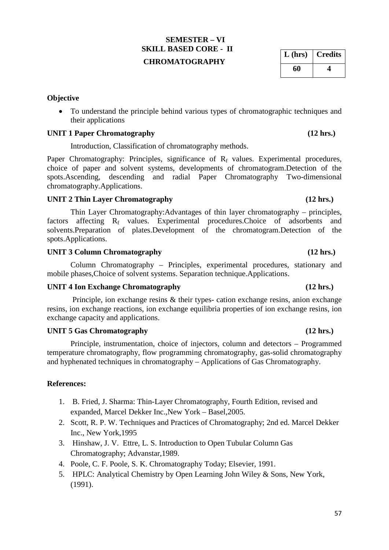# **SEMESTER – VI SKILL BASED CORE - II CHROMATOGRAPHY**

# **Objective**

• To understand the principle behind various types of chromatographic techniques and their applications

# **UNIT 1 Paper Chromatography (12 hrs.)**

Introduction, Classification of chromatography methods.

Paper Chromatography: Principles, significance of  $R_f$  values. Experimental procedures, choice of paper and solvent systems, developments of chromatogram.Detection of the spots.Ascending, descending and radial Paper Chromatography Two-dimensional chromatography.Applications.

# **UNIT 2 Thin Layer Chromatography (12 hrs.)**

Thin Layer Chromatography:Advantages of thin layer chromatography – principles, factors affecting R<sub>f</sub> values. Experimental procedures.Choice of adsorbents and solvents.Preparation of plates.Development of the chromatogram.Detection of the spots.Applications.

# **UNIT 3 Column Chromatography (12 hrs.)**

Column Chromatography – Principles, experimental procedures, stationary and mobile phases,Choice of solvent systems. Separation technique.Applications.

# **UNIT 4 Ion Exchange Chromatography (12 hrs.)**

Principle, ion exchange resins & their types- cation exchange resins, anion exchange resins, ion exchange reactions, ion exchange equilibria properties of ion exchange resins, ion exchange capacity and applications.

# **UNIT 5 Gas Chromatography (12 hrs.)**

Principle, instrumentation, choice of injectors, column and detectors – Programmed temperature chromatography, flow programming chromatography, gas-solid chromatography and hyphenated techniques in chromatography – Applications of Gas Chromatography.

# **References:**

- 1. B. Fried, J. Sharma: Thin-Layer Chromatography, Fourth Edition, revised and expanded, Marcel Dekker Inc.,New York – Basel,2005.
- 2. Scott, R. P. W. Techniques and Practices of Chromatography; 2nd ed. Marcel Dekker Inc., New York,1995
- 3. Hinshaw, J. V. Ettre, L. S. Introduction to Open Tubular Column Gas Chromatography; Advanstar,1989.
- 4. Poole, C. F. Poole, S. K. Chromatography Today; Elsevier, 1991.
- 5. HPLC: Analytical Chemistry by Open Learning John Wiley & Sons, New York, (1991).

**L (hrs) Credits 60 4**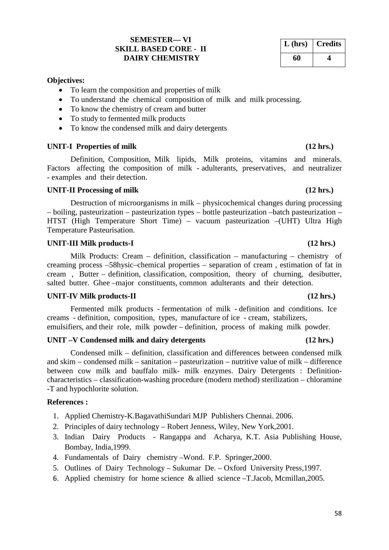# **SEMESTER— VI SKILL BASED CORE - II DAIRY CHEMISTRY**

### **Objectives:**

- To learn the composition and properties of milk
- To understand the chemical composition of milk and milk processing.
- To know the chemistry of cream and butter
- To study to fermented milk products
- To know the condensed milk and dairy detergents

### UNIT-I Properties of milk (12 hrs.)

Definition, Composition, Milk lipids, Milk proteins, vitamins and minerals. Factors affecting the composition of milk - adulterants, preservatives, and neutralizer - examples and their detection.

### **UNIT-II Processing of milk (12 hrs.)**

Destruction of microorganisms in milk – physicochemical changes during processing – boiling, pasteurization – pasteurization types – bottle pasteurization –batch pasteurization – HTST (High Temperature Short Time) – vacuum pasteurization –(UHT) Ultra High Temperature Pasteurisation.

### **UNIT-III Milk products-I (12 hrs.)**

Milk Products: Cream – definition, classification – manufacturing – chemistry of creaming process –58hysic–chemical properties – separation of cream , estimation of fat in cream , Butter – definition, classification, composition, theory of churning, desibutter, salted butter. Ghee –major constituents, common adulterants and their detection.

## **UNIT-IV Milk products-II (12 hrs.)**

Fermented milk products - fermentation of milk - definition and conditions. Ice creams - definition, composition, types, manufacture of ice - cream, stabilizers,

emulsifiers, and their role, milk powder – definition, process of making milk powder.

# **UNIT –V Condensed milk and dairy detergents (12 hrs.)**

Condensed milk – definition, classification and differences between condensed milk and skim – condensed milk – sanitation – pasteurization – nutritive value of milk – difference between cow milk and bauffalo milk- milk enzymes. Dairy Detergents : Definitioncharacteristics – classification-washing procedure (modern method) sterilization – chloramine -T and hypochlorite solution.

### **References :**

- 1. Applied Chemistry-K.BagavathiSundari MJP Publishers Chennai. 2006.
- 2. Principles of dairy technology Robert Jenness, Wiley, New York,2001.
- 3. Indian Dairy Products Rangappa and Acharya, K.T. Asia Publishing House, Bombay, India,1999.
- 4. Fundamentals of Dairy chemistry –Wond. F.P. Springer,2000.
- 5. Outlines of Dairy Technology Sukumar De. Oxford University Press,1997.
- 6. Applied chemistry for home science & allied science –T.Jacob, Mcmillan,2005.

# **L (hrs) Credits 60 4**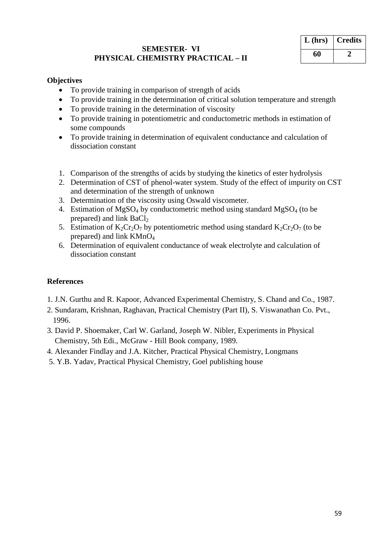# **SEMESTER- VI PHYSICAL CHEMISTRY PRACTICAL – II**

| $L$ (hrs) | <b>Credits</b> |
|-----------|----------------|
| 60        |                |

# **Objectives**

- To provide training in comparison of strength of acids
- To provide training in the determination of critical solution temperature and strength
- To provide training in the determination of viscosity
- To provide training in potentiometric and conductometric methods in estimation of some compounds
- To provide training in determination of equivalent conductance and calculation of dissociation constant
- 1. Comparison of the strengths of acids by studying the kinetics of ester hydrolysis
- 2. Determination of CST of phenol-water system. Study of the effect of impurity on CST and determination of the strength of unknown
- 3. Determination of the viscosity using Oswald viscometer.
- 4. Estimation of MgSO<sub>4</sub> by conductometric method using standard MgSO<sub>4</sub> (to be prepared) and link  $BaCl<sub>2</sub>$
- 5. Estimation of  $K_2Cr_2O_7$  by potentiometric method using standard  $K_2Cr_2O_7$  (to be prepared) and link  $KMnO<sub>4</sub>$
- 6. Determination of equivalent conductance of weak electrolyte and calculation of dissociation constant

# **References**

- 1. J.N. Gurthu and R. Kapoor, Advanced Experimental Chemistry, S. Chand and Co., 1987.
- 2. Sundaram, Krishnan, Raghavan, Practical Chemistry (Part II), S. Viswanathan Co. Pvt., 1996.
- 3. David P. Shoemaker, Carl W. Garland, Joseph W. Nibler, Experiments in Physical Chemistry, 5th Edi., McGraw - Hill Book company, 1989.
- 4. Alexander Findlay and J.A. Kitcher, Practical Physical Chemistry, Longmans
- 5. Y.B. Yadav, Practical Physical Chemistry, Goel publishing house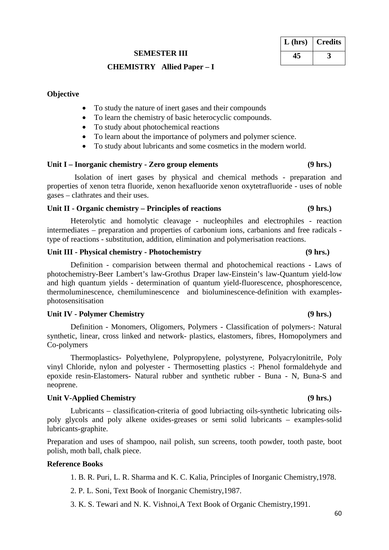# **SEMESTER III**

# **CHEMISTRY Allied Paper – I**

# **Objective**

- To study the nature of inert gases and their compounds
- To learn the chemistry of basic heterocyclic compounds.
- To study about photochemical reactions
- To learn about the importance of polymers and polymer science.
- To study about lubricants and some cosmetics in the modern world.

# **Unit I – Inorganic chemistry - Zero group elements (9 hrs.)**

 Isolation of inert gases by physical and chemical methods - preparation and properties of xenon tetra fluoride, xenon hexafluoride xenon oxytetrafluoride - uses of noble gases – clathrates and their uses.

# **Unit II - Organic chemistry – Principles of reactions (9 hrs.)**

Heterolytic and homolytic cleavage - nucleophiles and electrophiles - reaction intermediates – preparation and properties of carbonium ions, carbanions and free radicals type of reactions - substitution, addition, elimination and polymerisation reactions.

# **Unit III - Physical chemistry - Photochemistry (9 hrs.)**

Definition - comparision between thermal and photochemical reactions - Laws of photochemistry-Beer Lambert's law-Grothus Draper law-Einstein's law-Quantum yield-low and high quantum yields - determination of quantum yield-fluorescence, phosphorescence, thermoluminescence, chemiluminescence and bioluminescence-definition with examplesphotosensitisation

# **Unit IV - Polymer Chemistry (9 hrs.)**

Definition - Monomers, Oligomers, Polymers - Classification of polymers-: Natural synthetic, linear, cross linked and network- plastics, elastomers, fibres, Homopolymers and Co-polymers

Thermoplastics- Polyethylene, Polypropylene, polystyrene, Polyacrylonitrile, Poly vinyl Chloride, nylon and polyester - Thermosetting plastics -: Phenol formaldehyde and epoxide resin-Elastomers- Natural rubber and synthetic rubber - Buna - N, Buna-S and neoprene.

# **Unit V-Applied Chemistry (9 hrs.)**

Lubricants – classification-criteria of good lubriacting oils-synthetic lubricating oilspoly glycols and poly alkene oxides-greases or semi solid lubricants – examples-solid lubricants-graphite.

Preparation and uses of shampoo, nail polish, sun screens, tooth powder, tooth paste, boot polish, moth ball, chalk piece.

# **Reference Books**

1. B. R. Puri, L. R. Sharma and K. C. Kalia, Principles of Inorganic Chemistry,1978.

2. P. L. Soni, Text Book of Inorganic Chemistry,1987.

3. K. S. Tewari and N. K. Vishnoi,A Text Book of Organic Chemistry,1991.

# **L (hrs) Credits 45 3**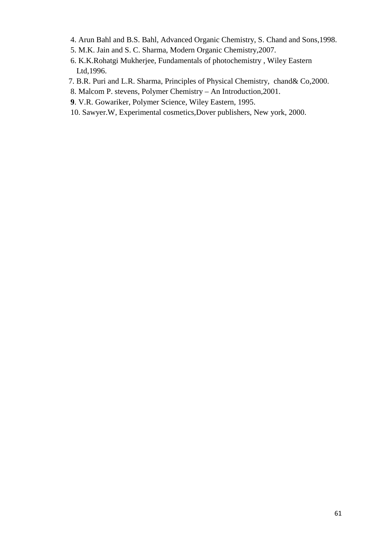- 4. Arun Bahl and B.S. Bahl, Advanced Organic Chemistry, S. Chand and Sons,1998.
- 5. M.K. Jain and S. C. Sharma, Modern Organic Chemistry,2007.
- 6. K.K.Rohatgi Mukherjee, Fundamentals of photochemistry , Wiley Eastern Ltd,1996.
- 7. B.R. Puri and L.R. Sharma, Principles of Physical Chemistry, chand& Co,2000.
- 8. Malcom P. stevens, Polymer Chemistry An Introduction,2001.
- **9**. V.R. Gowariker, Polymer Science, Wiley Eastern, 1995.
- 10. Sawyer.W, Experimental cosmetics,Dover publishers, New york, 2000.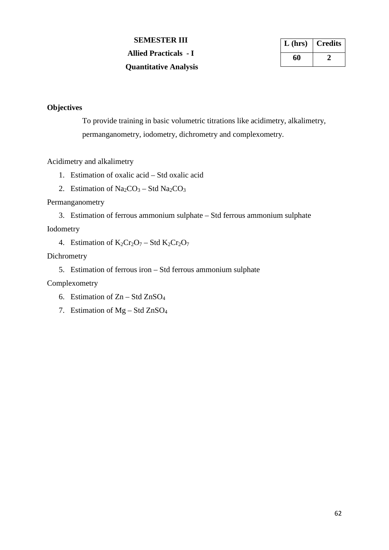**SEMESTER III Allied Practicals - I Quantitative Analysis**

| $L$ (hrs) | <b>Credits</b> |
|-----------|----------------|
| 60        |                |

# **Objectives**

To provide training in basic volumetric titrations like acidimetry, alkalimetry, permanganometry, iodometry, dichrometry and complexometry.

## Acidimetry and alkalimetry

- 1. Estimation of oxalic acid Std oxalic acid
- 2. Estimation of  $Na_2CO_3 Std Na_2CO_3$

# Permanganometry

3. Estimation of ferrous ammonium sulphate – Std ferrous ammonium sulphate

# Iodometry

4. Estimation of  $K_2Cr_2O_7 - Std K_2Cr_2O_7$ 

# Dichrometry

5. Estimation of ferrous iron – Std ferrous ammonium sulphate

Complexometry

- 6. Estimation of  $Zn Std ZnSO<sub>4</sub>$
- 7. Estimation of  $Mg Std ZnSO<sub>4</sub>$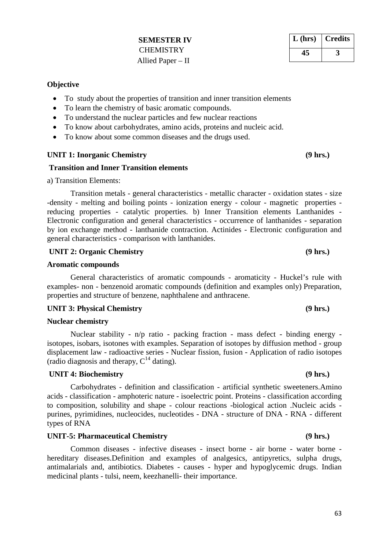# **SEMESTER IV CHEMISTRY** Allied Paper – II

# **Objective**

- To study about the properties of transition and inner transition elements
- To learn the chemistry of basic aromatic compounds.
- To understand the nuclear particles and few nuclear reactions
- To know about carbohydrates, amino acids, proteins and nucleic acid.
- To know about some common diseases and the drugs used.

## UNIT 1: Inorganic Chemistry (9 hrs.)

## **Transition and Inner Transition elements**

a) Transition Elements:

Transition metals - general characteristics - metallic character - oxidation states - size -density - melting and boiling points - ionization energy - colour - magnetic properties reducing properties - catalytic properties. b) Inner Transition elements Lanthanides - Electronic configuration and general characteristics - occurrence of lanthanides - separation by ion exchange method - lanthanide contraction. Actinides - Electronic configuration and general characteristics - comparison with lanthanides.

# UNIT 2: Organic Chemistry (9 hrs.)

## **Aromatic compounds**

General characteristics of aromatic compounds - aromaticity - Huckel's rule with examples- non - benzenoid aromatic compounds (definition and examples only) Preparation, properties and structure of benzene, naphthalene and anthracene.

## UNIT 3: Physical Chemistry (9 hrs.)

## **Nuclear chemistry**

Nuclear stability - n/p ratio - packing fraction - mass defect - binding energy isotopes, isobars, isotones with examples. Separation of isotopes by diffusion method - group displacement law - radioactive series - Nuclear fission, fusion - Application of radio isotopes (radio diagnosis and therapy,  $C^{14}$  dating).

## **UNIT 4: Biochemistry (9 hrs.)**

Carbohydrates - definition and classification - artificial synthetic sweeteners.Amino acids - classification - amphoteric nature - isoelectric point. Proteins - classification according to composition, solubility and shape - colour reactions -biological action .Nucleic acids purines, pyrimidines, nucleocides, nucleotides - DNA - structure of DNA - RNA - different types of RNA

# **UNIT-5: Pharmaceutical Chemistry (9 hrs.)**

Common diseases - infective diseases - insect borne - air borne - water borne hereditary diseases.Definition and examples of analgesics, antipyretics, sulpha drugs, antimalarials and, antibiotics. Diabetes - causes - hyper and hypoglycemic drugs. Indian medicinal plants - tulsi, neem, keezhanelli- their importance.

**L (hrs) Credits 45 3**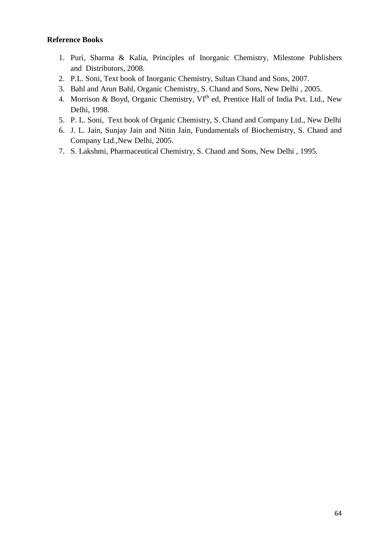# **Reference Books**

- 1. Puri, Sharma & Kalia, Principles of Inorganic Chemistry, Milestone Publishers and Distributors, 2008.
- 2. P.L. Soni, Text book of Inorganic Chemistry, Sultan Chand and Sons, 2007.
- 3. Bahl and Arun Bahl, Organic Chemistry, S. Chand and Sons, New Delhi , 2005.
- 4. Morrison & Boyd, Organic Chemistry,  $VI<sup>th</sup>$  ed, Prentice Hall of India Pvt. Ltd., New Delhi, 1998.
- 5. P. L. Soni, Text book of Organic Chemistry, S. Chand and Company Ltd., New Delhi
- 6. J. L. Jain, Sunjay Jain and Nitin Jain, Fundamentals of Biochemistry, S. Chand and Company Ltd.,New Delhi, 2005.
- 7. S. Lakshmi, Pharmaceutical Chemistry, S. Chand and Sons, New Delhi , 1995.